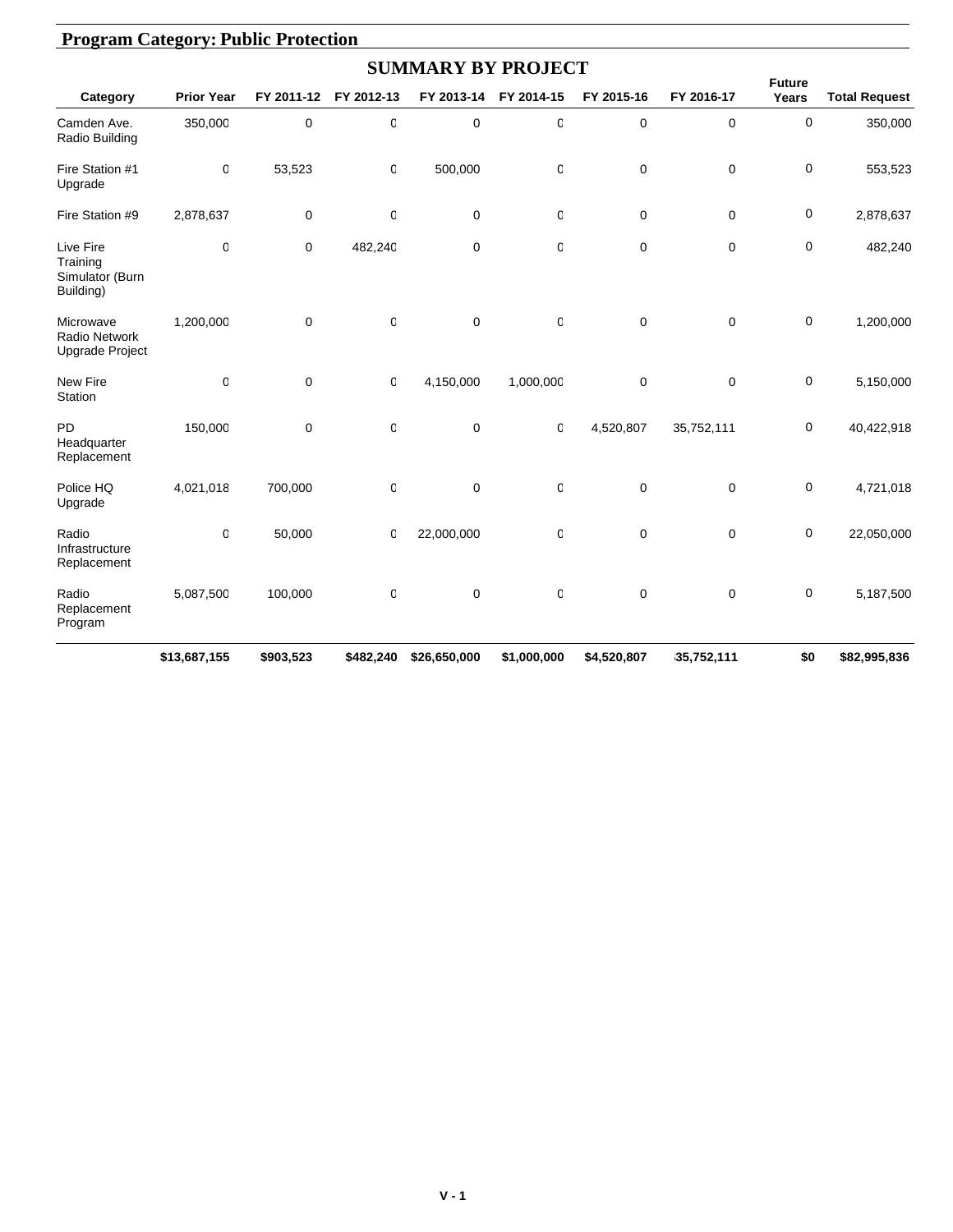|                                                       |                   |             |             | <b>SUMMARY BY PROJECT</b> |                |             |             |                        |                      |
|-------------------------------------------------------|-------------------|-------------|-------------|---------------------------|----------------|-------------|-------------|------------------------|----------------------|
| Category                                              | <b>Prior Year</b> | FY 2011-12  | FY 2012-13  | FY 2013-14                | FY 2014-15     | FY 2015-16  | FY 2016-17  | <b>Future</b><br>Years | <b>Total Request</b> |
| Camden Ave.<br>Radio Building                         | 350,000           | $\mathbf 0$ | O           | $\mathbf 0$               | 0              | 0           | 0           | 0                      | 350,000              |
| Fire Station #1<br>Upgrade                            | 0                 | 53,523      | 0           | 500,000                   | 0              | 0           | 0           | 0                      | 553,523              |
| Fire Station #9                                       | 2,878,637         | 0           | 0           | $\mathbf 0$               | 0              | 0           | $\mathbf 0$ | 0                      | 2,878,637            |
| Live Fire<br>Training<br>Simulator (Burn<br>Building) | 0                 | $\mathbf 0$ | 482,240     | 0                         | $\overline{0}$ | $\mathbf 0$ | $\mathbf 0$ | 0                      | 482,240              |
| Microwave<br>Radio Network<br>Upgrade Project         | 1,200,000         | $\mathbf 0$ | 0           | $\mathbf 0$               | 0              | $\mathbf 0$ | $\mathbf 0$ | $\mathbf 0$            | 1,200,000            |
| New Fire<br>Station                                   | 0                 | $\mathbf 0$ | 0           | 4,150,000                 | 1,000,000      | 0           | $\mathbf 0$ | 0                      | 5,150,000            |
| <b>PD</b><br>Headquarter<br>Replacement               | 150,000           | $\mathbf 0$ | 0           | $\mathbf 0$               | 0              | 4,520,807   | 35,752,111  | 0                      | 40,422,918           |
| Police HQ<br>Upgrade                                  | 4,021,018         | 700,000     | $\mathbf 0$ | $\mathbf 0$               | 0              | 0           | 0           | 0                      | 4,721,018            |
| Radio<br>Infrastructure<br>Replacement                | 0                 | 50,000      | O           | 22,000,000                | 0              | 0           | $\mathbf 0$ | 0                      | 22,050,000           |
| Radio<br>Replacement<br>Program                       | 5,087,500         | 100,000     | 0           | $\mathbf 0$               | 0              | 0           | $\mathbf 0$ | 0                      | 5,187,500            |
|                                                       | \$13,687,155      | \$903,523   | \$482,240   | \$26,650,000              | \$1,000,000    | \$4,520,807 | 35,752,111  | \$0                    | \$82,995,836         |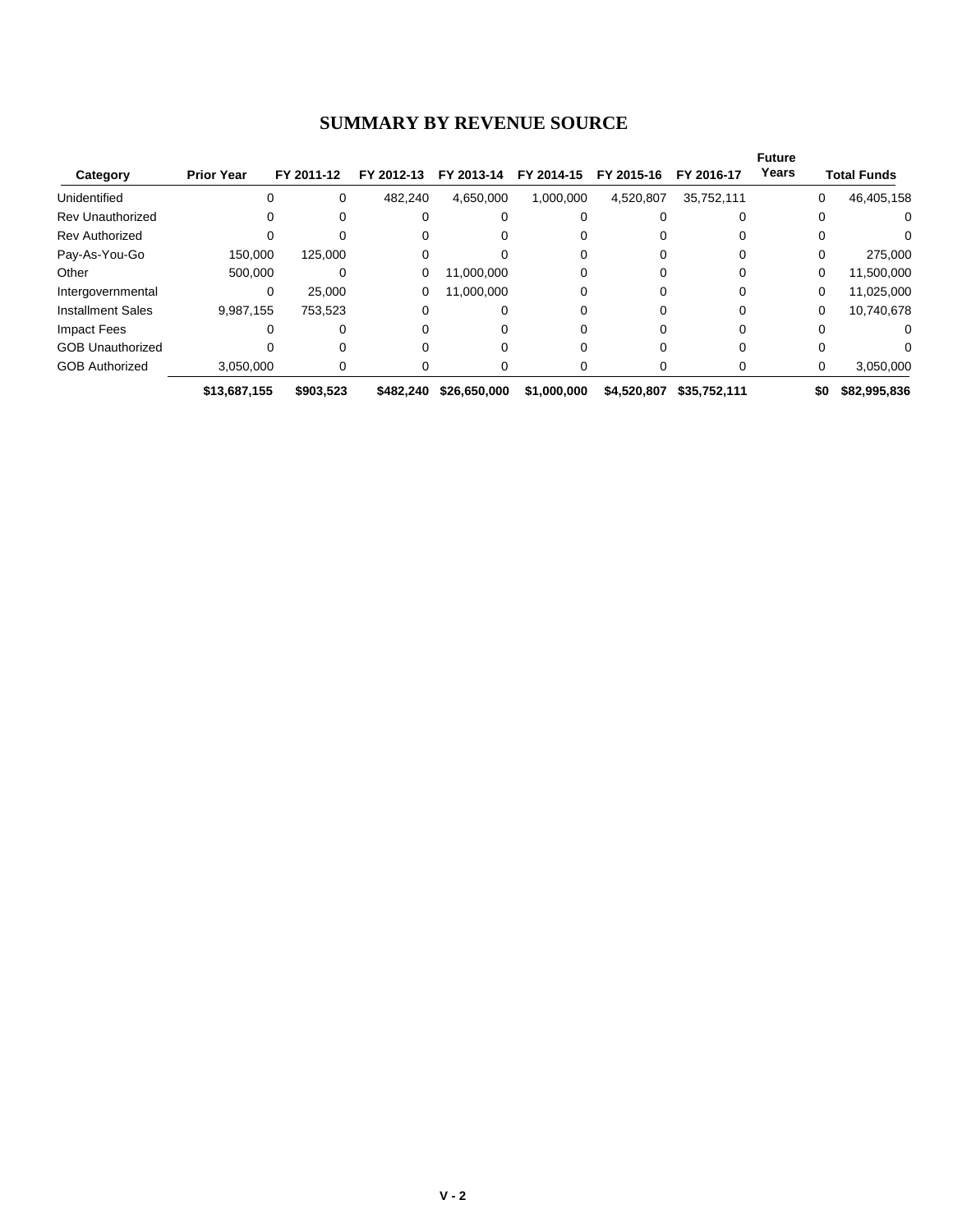#### **SUMMARY BY REVENUE SOURCE**

| Category                 | <b>Prior Year</b> | FY 2011-12 | FY 2012-13 | FY 2013-14   | FY 2014-15  | FY 2015-16  | FY 2016-17   | <b>Future</b><br>Years |     | <b>Total Funds</b> |
|--------------------------|-------------------|------------|------------|--------------|-------------|-------------|--------------|------------------------|-----|--------------------|
| Unidentified             | 0                 | $\Omega$   | 482.240    | 4.650.000    | 1,000,000   | 4,520,807   | 35,752,111   |                        | 0   | 46,405,158         |
| <b>Rev Unauthorized</b>  | 0                 | 0          | 0          |              |             |             |              |                        | 0   | $\Omega$           |
| <b>Rev Authorized</b>    |                   |            | 0          |              |             |             |              |                        |     | 0                  |
| Pay-As-You-Go            | 150,000           | 125,000    |            |              |             |             |              |                        | 0   | 275,000            |
| Other                    | 500.000           |            | 0          | 11,000,000   |             |             |              |                        | 0   | 11,500,000         |
| Intergovernmental        | 0                 | 25.000     | 0          | 11,000,000   | ი           |             |              |                        | 0   | 11,025,000         |
| <b>Installment Sales</b> | 9,987,155         | 753.523    | 0          |              | Ω           |             |              |                        | 0   | 10,740,678         |
| Impact Fees              | 0                 | 0          | 0          |              | Ω           |             |              |                        | 0   | 0                  |
| <b>GOB Unauthorized</b>  |                   |            |            |              |             |             |              |                        |     | 0                  |
| <b>GOB Authorized</b>    | 3,050,000         | 0          | 0          |              |             |             |              |                        | 0   | 3,050,000          |
|                          | \$13,687,155      | \$903,523  | \$482.240  | \$26,650,000 | \$1,000,000 | \$4,520,807 | \$35,752,111 |                        | \$0 | \$82,995,836       |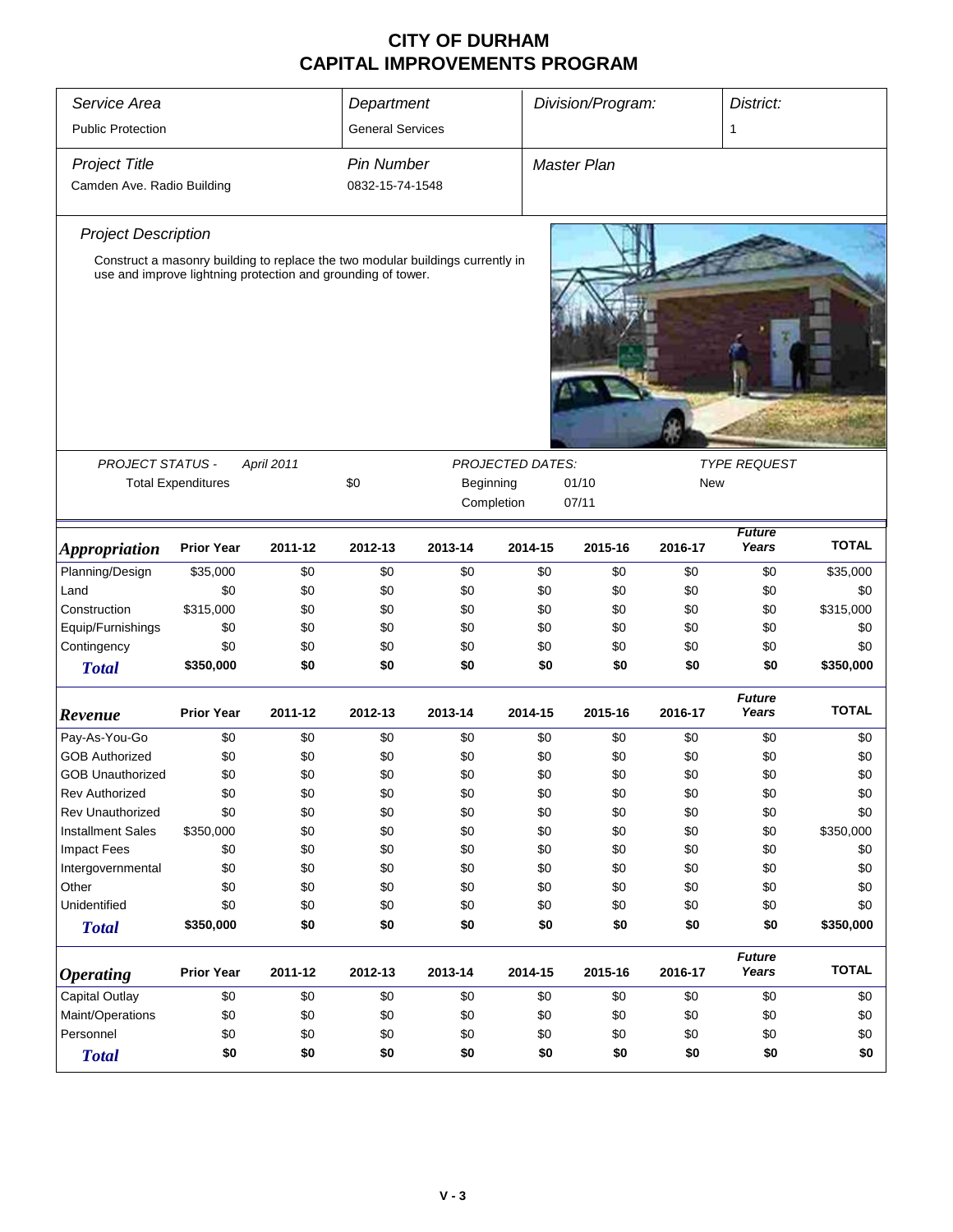| Service Area<br><b>Public Protection</b>           | Department<br><b>General Services</b>                        |            |                                      | Division/Program:                                                              |                         | District:<br>1     |            |                        |              |
|----------------------------------------------------|--------------------------------------------------------------|------------|--------------------------------------|--------------------------------------------------------------------------------|-------------------------|--------------------|------------|------------------------|--------------|
| <b>Project Title</b><br>Camden Ave. Radio Building |                                                              |            | <b>Pin Number</b><br>0832-15-74-1548 |                                                                                |                         | <b>Master Plan</b> |            |                        |              |
| <b>Project Description</b>                         |                                                              |            |                                      |                                                                                |                         |                    |            |                        |              |
|                                                    | use and improve lightning protection and grounding of tower. |            |                                      | Construct a masonry building to replace the two modular buildings currently in |                         |                    |            |                        |              |
| <b>PROJECT STATUS -</b>                            |                                                              | April 2011 |                                      |                                                                                | <b>PROJECTED DATES:</b> |                    |            | <b>TYPE REQUEST</b>    |              |
|                                                    | <b>Total Expenditures</b>                                    |            | \$0                                  | Beginning<br>Completion                                                        |                         | 01/10<br>07/11     | <b>New</b> |                        |              |
| <b>Appropriation</b>                               | <b>Prior Year</b>                                            | 2011-12    | 2012-13                              | 2013-14                                                                        | 2014-15                 | 2015-16            | 2016-17    | <b>Future</b><br>Years | <b>TOTAL</b> |
| Planning/Design                                    | \$35,000                                                     | \$0        | \$0                                  | \$0                                                                            | \$0                     | \$0                | \$0        | \$0                    | \$35,000     |
| Land                                               | \$0                                                          | \$0        | \$0                                  | \$0                                                                            | \$0                     | \$0                | \$0        | \$0                    | \$0          |
| Construction                                       | \$315,000                                                    | \$0        | \$0                                  | \$0                                                                            | \$0                     | \$0                | \$0        | \$0                    | \$315,000    |
| Equip/Furnishings                                  | \$0                                                          | \$0        | \$0                                  | \$0                                                                            | \$0                     | \$0                | \$0        | \$0                    | \$0          |
| Contingency                                        | \$0                                                          | \$0        | \$0                                  | \$0                                                                            | \$0                     | \$0                | \$0        | \$0                    | \$0          |
| <b>Total</b>                                       | \$350,000                                                    | \$0        | \$0                                  | \$0                                                                            | \$0                     | \$0                | \$0        | \$0                    | \$350,000    |
| Revenue                                            | <b>Prior Year</b>                                            | 2011-12    | 2012-13                              | 2013-14                                                                        | 2014-15                 | 2015-16            | 2016-17    | <b>Future</b><br>Years | <b>TOTAL</b> |
| Pay-As-You-Go                                      | \$0                                                          | \$0        | \$0                                  | \$0                                                                            | \$0                     | \$0                | \$0        | \$0                    | \$0          |
| <b>GOB Authorized</b>                              | \$0                                                          | \$0        | \$0                                  | \$0                                                                            | \$0                     | \$0                | \$0        | \$0                    | \$0          |
| <b>GOB Unauthorized</b>                            | \$0                                                          | \$0        | \$0                                  | \$0                                                                            | \$0                     | \$0                | \$0        | \$0                    | \$0          |
| <b>Rev Authorized</b>                              | \$0                                                          | \$0        | \$0                                  | \$0                                                                            | \$0                     | \$0                | \$0        | \$0                    | \$0          |
| <b>Rev Unauthorized</b>                            | \$0                                                          | \$0        | \$0                                  | \$0                                                                            | \$0                     | \$0                | \$0        | \$0                    | \$0          |
| <b>Installment Sales</b>                           | \$350,000                                                    | \$0        | \$0                                  | \$0                                                                            | \$0                     | \$0                | \$0        | \$0                    | \$350,000    |
| <b>Impact Fees</b>                                 | \$0                                                          | \$0        | \$0                                  | \$0                                                                            | \$0                     | \$0                | \$0        | \$0                    | \$0          |
| Intergovernmental                                  | \$0                                                          | \$0        | \$0                                  | \$0                                                                            | \$0                     | \$0                | \$0        | \$0                    | \$0          |
| Other                                              | \$0                                                          | \$0        | \$0                                  | \$0                                                                            | \$0                     | \$0                | \$0        | \$0                    | \$0          |
| Unidentified                                       | \$0                                                          | \$0        | \$0                                  | \$0                                                                            | \$0                     | \$0                | \$0        | \$0                    | \$0          |
| <b>Total</b>                                       | \$350,000                                                    | \$0        | \$0                                  | \$0                                                                            | \$0                     | \$0                | \$0        | \$0                    | \$350,000    |
| <b>Operating</b>                                   | <b>Prior Year</b>                                            | 2011-12    | 2012-13                              | 2013-14                                                                        | 2014-15                 | 2015-16            | 2016-17    | <b>Future</b><br>Years | <b>TOTAL</b> |
| Capital Outlay                                     | \$0                                                          | \$0        | \$0                                  | \$0                                                                            | \$0                     | \$0                | \$0        | \$0                    | \$0          |
| Maint/Operations                                   | \$0                                                          | \$0        | \$0                                  | \$0                                                                            | \$0                     | \$0                | \$0        | \$0                    | \$0          |
| Personnel                                          | \$0                                                          | \$0        | \$0                                  | \$0                                                                            | \$0                     | \$0                | \$0        | \$0                    | \$0          |
| <b>Total</b>                                       | \$0                                                          | \$0        | \$0                                  | \$0                                                                            | \$0                     | \$0                | \$0        | \$0                    | \$0          |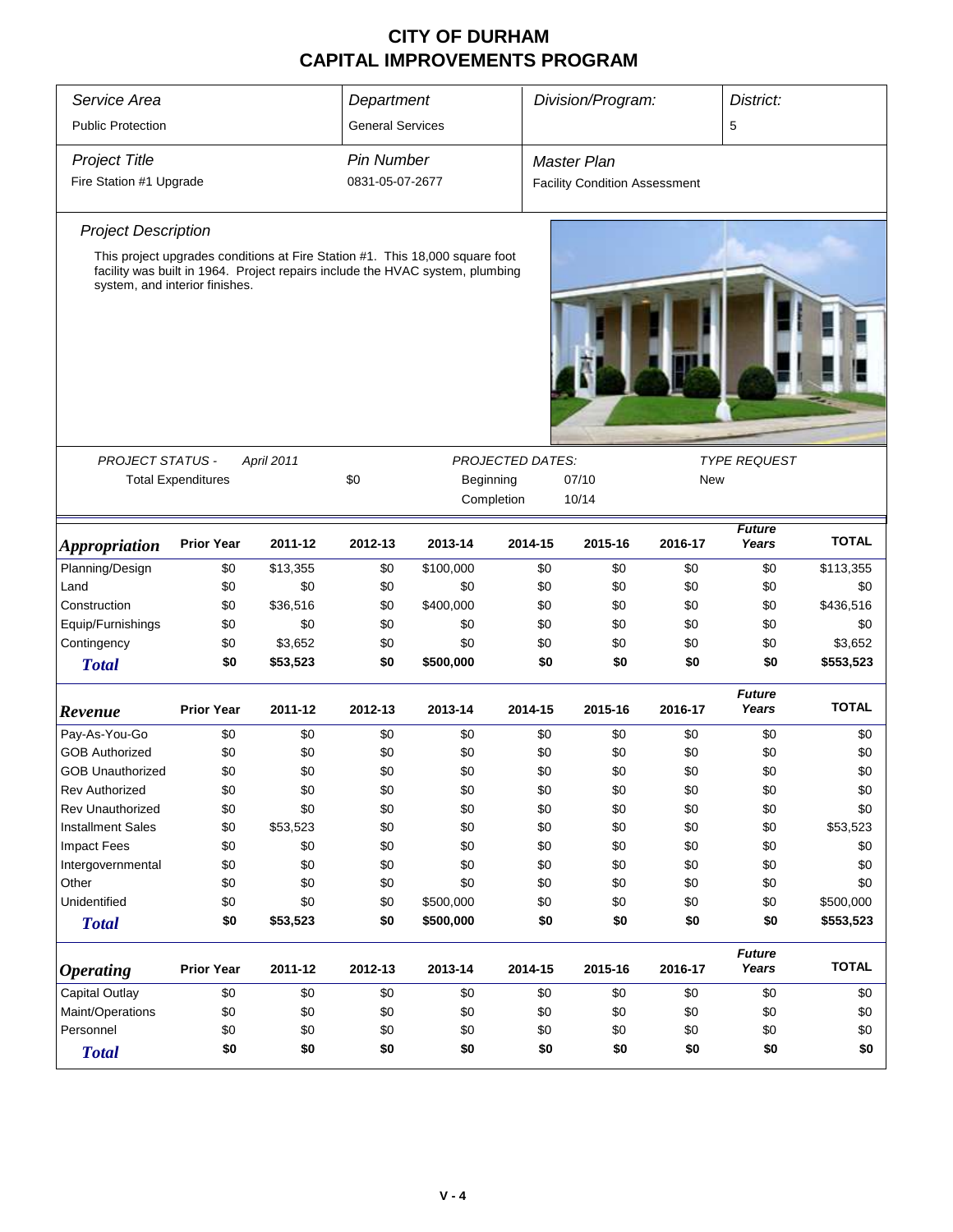| Service Area                |                                                      |            | Department                                            |                                                                               |                         | Division/Program:                    |         | District:              |              |
|-----------------------------|------------------------------------------------------|------------|-------------------------------------------------------|-------------------------------------------------------------------------------|-------------------------|--------------------------------------|---------|------------------------|--------------|
| <b>Public Protection</b>    |                                                      |            | <b>General Services</b>                               |                                                                               |                         |                                      |         | 5                      |              |
| <b>Project Title</b>        |                                                      |            | <b>Pin Number</b>                                     |                                                                               |                         | <b>Master Plan</b>                   |         |                        |              |
| Fire Station #1 Upgrade     |                                                      |            | 0831-05-07-2677                                       |                                                                               |                         | <b>Facility Condition Assessment</b> |         |                        |              |
| <b>Project Description</b>  |                                                      |            |                                                       |                                                                               |                         |                                      |         |                        |              |
|                             |                                                      |            |                                                       | This project upgrades conditions at Fire Station #1. This 18,000 square foot  |                         |                                      |         |                        |              |
|                             | system, and interior finishes.                       |            |                                                       | facility was built in 1964. Project repairs include the HVAC system, plumbing |                         |                                      |         |                        |              |
|                             |                                                      |            |                                                       |                                                                               |                         |                                      |         |                        |              |
| <b>PROJECT STATUS -</b>     |                                                      | April 2011 |                                                       |                                                                               | <b>PROJECTED DATES:</b> |                                      |         | <b>TYPE REQUEST</b>    |              |
|                             | <b>Total Expenditures</b>                            |            | \$0<br>Beginning<br>07/10<br><b>New</b><br>Completion |                                                                               |                         |                                      |         |                        |              |
|                             |                                                      |            |                                                       |                                                                               |                         | 10/14                                |         |                        |              |
| <i><b>Appropriation</b></i> | <b>Prior Year</b>                                    | 2011-12    | 2012-13                                               | 2013-14                                                                       | 2014-15                 | 2015-16                              | 2016-17 | <b>Future</b><br>Years | <b>TOTAL</b> |
| Planning/Design             | \$0                                                  | \$13,355   | \$0                                                   | \$100,000                                                                     | \$0                     | \$0                                  | \$0     | \$0                    | \$113,355    |
| Land                        | \$0                                                  | \$0        | \$0                                                   | \$0                                                                           | \$0                     | \$0                                  | \$0     | \$0                    | \$0          |
| Construction                | \$0                                                  | \$36,516   | \$0                                                   | \$400,000                                                                     | \$0                     | \$0                                  | \$0     | \$0                    | \$436,516    |
| Equip/Furnishings           | \$0                                                  | \$0        | \$0                                                   | \$0                                                                           | \$0                     | \$0                                  | \$0     | \$0                    | \$0          |
| Contingency                 | \$0                                                  | \$3,652    | \$0                                                   | \$0                                                                           | \$0                     | \$0                                  | \$0     | \$0                    | \$3,652      |
| <b>Total</b>                | \$0                                                  | \$53,523   | \$0                                                   | \$500,000                                                                     | \$0                     | \$0                                  | \$0     | \$0                    | \$553,523    |
| Revenue                     | <b>Prior Year</b>                                    | 2011-12    | 2012-13                                               | 2013-14                                                                       | 2014-15                 | 2015-16                              | 2016-17 | <b>Future</b><br>Years | <b>TOTAL</b> |
| Pay-As-You-Go               | \$0                                                  | \$0        | \$0                                                   | \$0                                                                           | \$0                     | \$0                                  | \$0     | \$0                    | \$0          |
| <b>GOB Authorized</b>       | \$0                                                  | \$0        | \$0                                                   | \$0                                                                           | \$0                     | \$0                                  | \$0     | \$0                    | \$0          |
| <b>GOB Unauthorized</b>     | \$0                                                  | \$0        | \$0                                                   | \$0                                                                           | \$0                     | \$0                                  | \$0     | \$0                    | \$0          |
| <b>Rev Authorized</b>       | \$0                                                  | \$0        | \$0                                                   | \$0                                                                           | \$0                     | \$0                                  | \$0     | \$0                    | \$0          |
| <b>Rev Unauthorized</b>     | \$0                                                  | \$0        | \$0                                                   | \$0                                                                           | \$0                     | \$0                                  | \$0     | \$0                    | \$0          |
| <b>Installment Sales</b>    | \$0                                                  | \$53,523   | \$0                                                   | \$0                                                                           | \$0                     | \$0                                  | \$0     | \$0                    | \$53,523     |
| <b>Impact Fees</b>          | \$0                                                  | \$0        | \$0                                                   | \$0                                                                           | \$0                     | \$0                                  | \$0     | \$0                    | \$0          |
| Intergovernmental           | \$0                                                  | \$0        | \$0                                                   | \$0                                                                           | \$0                     | \$0                                  | \$0     | \$0                    | \$0          |
| Other                       | \$0                                                  | \$0        | \$0                                                   | \$0                                                                           | \$0                     | \$0                                  | \$0     | \$0                    | \$0          |
| Unidentified                | \$0                                                  | \$0        | \$0                                                   | \$500,000                                                                     | \$0                     | \$0                                  | \$0     | \$0                    | \$500,000    |
| <b>Total</b>                | \$0                                                  | \$53,523   | \$0                                                   | \$500,000                                                                     | \$0                     | \$0                                  | \$0     | \$0                    | \$553,523    |
| <b>Operating</b>            | <b>Prior Year</b>                                    | 2011-12    | 2012-13                                               | 2013-14                                                                       | 2014-15                 | 2015-16                              | 2016-17 | <b>Future</b><br>Years | <b>TOTAL</b> |
| Capital Outlay              | \$0                                                  | \$0        | \$0                                                   | \$0                                                                           | \$0                     | \$0                                  | \$0     | \$0                    | \$0          |
| Maint/Operations            | \$0                                                  | \$0        | \$0                                                   | \$0                                                                           | \$0                     | \$0                                  | \$0     | \$0                    | \$0          |
| Personnel                   | \$0                                                  | \$0        | \$0                                                   | \$0                                                                           | \$0                     | \$0                                  | \$0     | \$0                    | \$0          |
| <b>Total</b>                | \$0<br>\$0<br>\$0<br>\$0<br>\$0<br>\$0<br>\$0<br>\$0 |            |                                                       |                                                                               |                         |                                      |         |                        | \$0          |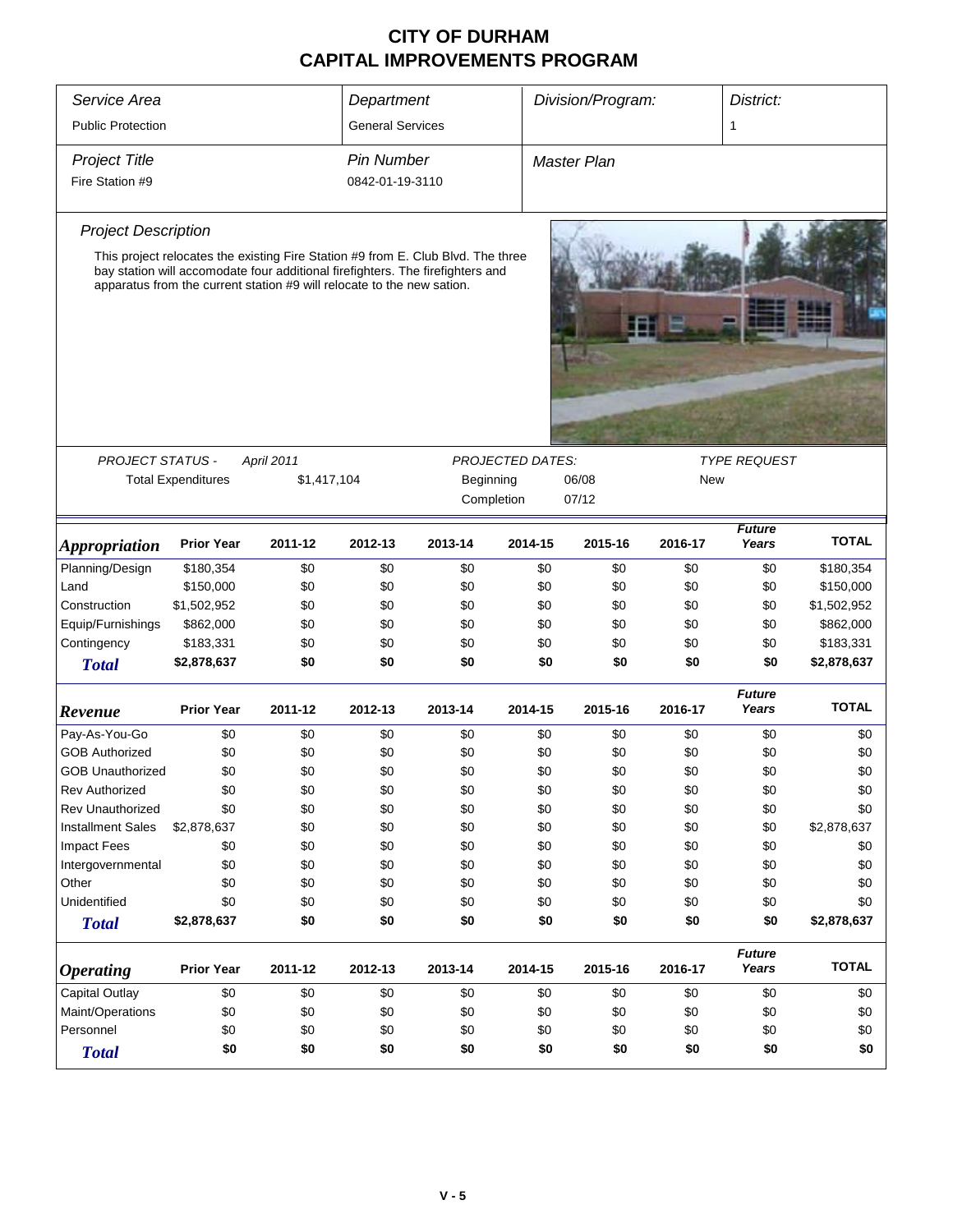| Service Area               |                                                                                                                                                                                                                                              |             | Department              |           |                         | Division/Program:  |            | District:              |              |  |
|----------------------------|----------------------------------------------------------------------------------------------------------------------------------------------------------------------------------------------------------------------------------------------|-------------|-------------------------|-----------|-------------------------|--------------------|------------|------------------------|--------------|--|
| <b>Public Protection</b>   |                                                                                                                                                                                                                                              |             | <b>General Services</b> |           |                         |                    |            | 1                      |              |  |
| <b>Project Title</b>       |                                                                                                                                                                                                                                              |             | <b>Pin Number</b>       |           |                         | <b>Master Plan</b> |            |                        |              |  |
|                            |                                                                                                                                                                                                                                              |             |                         |           |                         |                    |            |                        |              |  |
| Fire Station #9            |                                                                                                                                                                                                                                              |             | 0842-01-19-3110         |           |                         |                    |            |                        |              |  |
| <b>Project Description</b> |                                                                                                                                                                                                                                              |             |                         |           |                         |                    |            |                        |              |  |
|                            | This project relocates the existing Fire Station #9 from E. Club Blvd. The three<br>bay station will accomodate four additional firefighters. The firefighters and<br>apparatus from the current station #9 will relocate to the new sation. |             |                         |           |                         |                    |            |                        |              |  |
|                            |                                                                                                                                                                                                                                              |             |                         |           |                         |                    |            |                        |              |  |
| PROJECT STATUS -           |                                                                                                                                                                                                                                              | April 2011  |                         |           | <b>PROJECTED DATES:</b> |                    |            | <b>TYPE REQUEST</b>    |              |  |
|                            | <b>Total Expenditures</b>                                                                                                                                                                                                                    | \$1,417,104 |                         | Beginning |                         | 06/08              | New        |                        |              |  |
|                            |                                                                                                                                                                                                                                              |             |                         |           | Completion              | 07/12              |            |                        |              |  |
| <b>Appropriation</b>       | <b>Prior Year</b>                                                                                                                                                                                                                            | 2011-12     | 2012-13                 | 2013-14   | 2014-15                 | 2015-16            | 2016-17    | <b>Future</b><br>Years | <b>TOTAL</b> |  |
| Planning/Design            | \$180,354                                                                                                                                                                                                                                    | \$0         | \$0                     | \$0       |                         | \$0                | \$0<br>\$0 | \$0                    | \$180,354    |  |
| Land                       | \$150,000                                                                                                                                                                                                                                    | \$0         | \$0                     | \$0       |                         | \$0                | \$0<br>\$0 | \$0                    | \$150,000    |  |
| Construction               | \$1,502,952                                                                                                                                                                                                                                  | \$0         | \$0                     | \$0       |                         | \$0                | \$0<br>\$0 | \$0                    | \$1,502,952  |  |
| Equip/Furnishings          | \$862,000                                                                                                                                                                                                                                    | \$0         | \$0                     | \$0       |                         | \$0                | \$0<br>\$0 | \$0                    | \$862,000    |  |
| Contingency                | \$183,331                                                                                                                                                                                                                                    | \$0         | \$0                     | \$0       |                         | \$0                | \$0<br>\$0 | \$0                    | \$183,331    |  |
| <b>Total</b>               | \$2,878,637                                                                                                                                                                                                                                  | \$0         | \$0                     | \$0       |                         | \$0                | \$0<br>\$0 | \$0                    | \$2,878,637  |  |
| Revenue                    | <b>Prior Year</b>                                                                                                                                                                                                                            | 2011-12     | 2012-13                 | 2013-14   | 2014-15                 | 2015-16            | 2016-17    | <b>Future</b><br>Years | <b>TOTAL</b> |  |
| Pay-As-You-Go              | \$0                                                                                                                                                                                                                                          | \$0         | \$0                     | \$0       |                         | \$0                | \$0<br>\$0 | \$0                    | \$0          |  |
| <b>GOB Authorized</b>      | \$0                                                                                                                                                                                                                                          | \$0         | \$0                     | \$0       |                         | \$0                | \$0<br>\$0 | \$0                    | \$0          |  |
| <b>GOB Unauthorized</b>    | \$0                                                                                                                                                                                                                                          | \$0         | \$0                     | \$0       |                         | \$0                | \$0<br>\$0 | \$0                    | \$0          |  |
| <b>Rev Authorized</b>      | \$0                                                                                                                                                                                                                                          | \$0         | \$0                     | \$0       |                         | \$0                | \$0<br>\$0 | \$0                    | \$0          |  |
| Rev Unauthorized           | \$0                                                                                                                                                                                                                                          | \$0         | \$0                     | \$0       |                         | \$0                | \$0<br>\$0 | \$0                    | \$0          |  |
| <b>Installment Sales</b>   | \$2,878,637                                                                                                                                                                                                                                  | \$0         | \$0                     | \$0       |                         | \$0                | \$0<br>\$0 | \$0                    | \$2,878,637  |  |
| Impact Fees                | \$0                                                                                                                                                                                                                                          | \$0         | \$0                     | \$0       |                         | \$0                | \$0<br>\$0 | \$0                    | \$0          |  |
| Intergovernmental          | \$0                                                                                                                                                                                                                                          | \$0         | \$0                     | \$0       |                         | \$0                | \$0<br>\$0 | \$0                    | \$0          |  |
| Other                      | \$0                                                                                                                                                                                                                                          | \$0         | \$0                     | \$0       |                         | \$0                | \$0<br>\$0 | \$0                    | \$0          |  |
| Unidentified               | \$0                                                                                                                                                                                                                                          | \$0         | \$0                     | \$0       |                         | \$0                | \$0<br>\$0 | \$0                    | \$0          |  |
| <b>Total</b>               | \$2,878,637                                                                                                                                                                                                                                  | \$0         | \$0                     | \$0       |                         | \$0                | \$0<br>\$0 | \$0                    | \$2,878,637  |  |
| <i><b>Operating</b></i>    | <b>Prior Year</b>                                                                                                                                                                                                                            | 2011-12     | 2012-13                 | 2013-14   | 2014-15                 | 2015-16            | 2016-17    | <b>Future</b><br>Years | <b>TOTAL</b> |  |
| Capital Outlay             | \$0                                                                                                                                                                                                                                          | \$0         | \$0                     | \$0       |                         | \$0                | \$0<br>\$0 | \$0                    | \$0          |  |
| Maint/Operations           | \$0                                                                                                                                                                                                                                          | \$0         | \$0                     | \$0       |                         | \$0                | \$0<br>\$0 | \$0                    | \$0          |  |
| Personnel                  | \$0                                                                                                                                                                                                                                          | \$0         | \$0                     | \$0       |                         | \$0                | \$0<br>\$0 | \$0                    | \$0          |  |
| <b>Total</b>               | \$0                                                                                                                                                                                                                                          | \$0         | \$0                     | \$0       |                         | \$0                | \$0<br>\$0 | \$0                    | \$0          |  |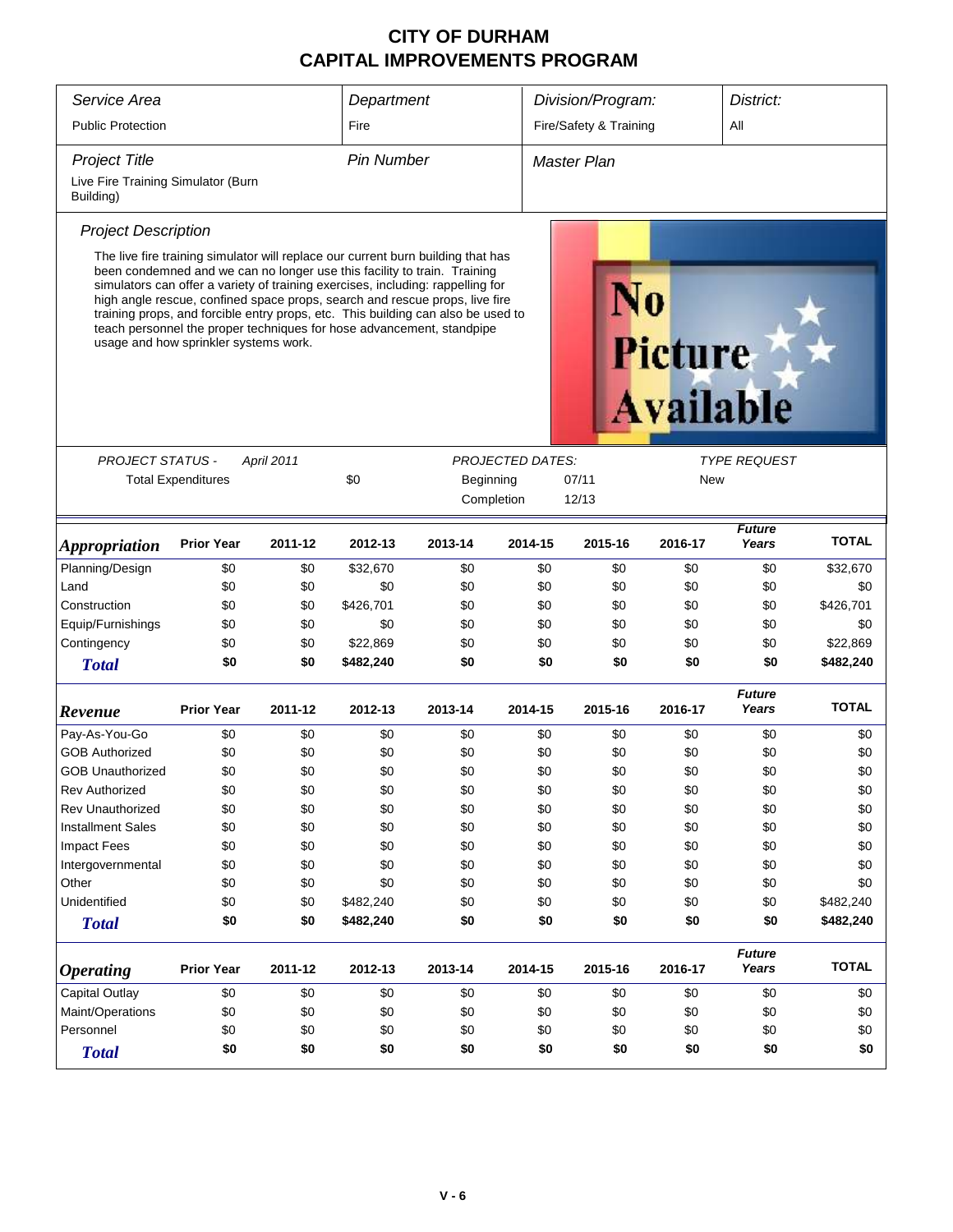| Service Area                                    |                                       |            | Department        |                                                                                                                                                                                                                                                                                                                                                                                                                                                                                             | Division/Program:       |                        | District:                          |                        |              |
|-------------------------------------------------|---------------------------------------|------------|-------------------|---------------------------------------------------------------------------------------------------------------------------------------------------------------------------------------------------------------------------------------------------------------------------------------------------------------------------------------------------------------------------------------------------------------------------------------------------------------------------------------------|-------------------------|------------------------|------------------------------------|------------------------|--------------|
| <b>Public Protection</b>                        |                                       |            | Fire              |                                                                                                                                                                                                                                                                                                                                                                                                                                                                                             |                         | Fire/Safety & Training |                                    | All                    |              |
| <b>Project Title</b>                            |                                       |            | <b>Pin Number</b> |                                                                                                                                                                                                                                                                                                                                                                                                                                                                                             |                         | Master Plan            |                                    |                        |              |
| Live Fire Training Simulator (Burn<br>Building) |                                       |            |                   |                                                                                                                                                                                                                                                                                                                                                                                                                                                                                             |                         |                        |                                    |                        |              |
| <b>Project Description</b>                      |                                       |            |                   |                                                                                                                                                                                                                                                                                                                                                                                                                                                                                             |                         |                        |                                    |                        |              |
|                                                 | usage and how sprinkler systems work. |            |                   | The live fire training simulator will replace our current burn building that has<br>been condemned and we can no longer use this facility to train. Training<br>simulators can offer a variety of training exercises, including: rappelling for<br>high angle rescue, confined space props, search and rescue props, live fire<br>training props, and forcible entry props, etc. This building can also be used to<br>teach personnel the proper techniques for hose advancement, standpipe |                         |                        | <b>Picture</b><br><b>Available</b> |                        |              |
|                                                 |                                       |            |                   |                                                                                                                                                                                                                                                                                                                                                                                                                                                                                             |                         |                        |                                    |                        |              |
| <b>PROJECT STATUS -</b>                         |                                       | April 2011 | \$0               |                                                                                                                                                                                                                                                                                                                                                                                                                                                                                             | <b>PROJECTED DATES:</b> |                        |                                    | <b>TYPE REQUEST</b>    |              |
|                                                 | <b>Total Expenditures</b>             |            |                   | Beginning                                                                                                                                                                                                                                                                                                                                                                                                                                                                                   |                         | 07/11<br>12/13         | New                                |                        |              |
|                                                 |                                       |            |                   | Completion                                                                                                                                                                                                                                                                                                                                                                                                                                                                                  |                         |                        |                                    |                        |              |
| <i><b>Appropriation</b></i>                     | <b>Prior Year</b>                     | 2011-12    | 2012-13           | 2013-14                                                                                                                                                                                                                                                                                                                                                                                                                                                                                     | 2014-15                 | 2015-16                | 2016-17                            | <b>Future</b><br>Years | <b>TOTAL</b> |
| Planning/Design                                 | \$0                                   | \$0        | \$32,670          | \$0                                                                                                                                                                                                                                                                                                                                                                                                                                                                                         | \$0                     | \$0                    | \$0                                | \$0                    | \$32,670     |
| Land                                            | \$0                                   | \$0        | \$0               | \$0                                                                                                                                                                                                                                                                                                                                                                                                                                                                                         | \$0                     | \$0                    | \$0                                | \$0                    | \$0          |
| Construction                                    | \$0                                   | \$0        | \$426,701         | \$0                                                                                                                                                                                                                                                                                                                                                                                                                                                                                         | \$0                     | \$0                    | \$0                                | \$0                    | \$426,701    |
| Equip/Furnishings                               | \$0                                   | \$0        | \$0               | \$0                                                                                                                                                                                                                                                                                                                                                                                                                                                                                         | \$0                     | \$0                    | \$0                                | \$0                    | \$0          |
| Contingency                                     | \$0                                   | \$0        | \$22,869          | \$0                                                                                                                                                                                                                                                                                                                                                                                                                                                                                         | \$0                     | \$0                    | \$0                                | \$0                    | \$22,869     |
| <b>Total</b>                                    | \$0                                   | \$0        | \$482,240         | \$0                                                                                                                                                                                                                                                                                                                                                                                                                                                                                         | \$0                     | \$0                    | \$0                                | \$0                    | \$482,240    |
| Revenue                                         | <b>Prior Year</b>                     | 2011-12    | 2012-13           | 2013-14                                                                                                                                                                                                                                                                                                                                                                                                                                                                                     | 2014-15                 | 2015-16                | 2016-17                            | <b>Future</b><br>Years | <b>TOTAL</b> |
| Pay-As-You-Go                                   | \$0                                   | \$0        | \$0               | \$0                                                                                                                                                                                                                                                                                                                                                                                                                                                                                         | \$0                     | \$0                    | \$0                                | \$0                    | \$0          |
| <b>GOB Authorized</b>                           | \$0                                   | \$0        | \$0               | \$0                                                                                                                                                                                                                                                                                                                                                                                                                                                                                         | \$0                     | \$0                    | \$0                                | \$0                    | \$0          |
| <b>GOB Unauthorized</b>                         | \$0                                   | \$0        | \$0               | \$0                                                                                                                                                                                                                                                                                                                                                                                                                                                                                         | \$0                     | \$0                    | \$0                                | \$0                    | \$0          |
| <b>Rev Authorized</b>                           | \$0                                   | \$0        | \$0               | \$0                                                                                                                                                                                                                                                                                                                                                                                                                                                                                         | \$0                     | \$0                    | \$0                                | \$0                    | \$0          |
| <b>Rev Unauthorized</b>                         | \$0                                   | \$0        | \$0               | \$0                                                                                                                                                                                                                                                                                                                                                                                                                                                                                         | \$0                     | \$0                    | \$0                                | \$0                    | \$0          |
| <b>Installment Sales</b>                        | \$0                                   | \$0        | \$0               | \$0                                                                                                                                                                                                                                                                                                                                                                                                                                                                                         | \$0                     | \$0                    | \$0                                | \$0                    | \$0          |
| <b>Impact Fees</b>                              | \$0                                   | \$0        | \$0               | \$0                                                                                                                                                                                                                                                                                                                                                                                                                                                                                         | \$0                     | \$0                    | \$0                                | \$0                    | \$0          |
| Intergovernmental                               | \$0                                   | \$0        | \$0               | \$0                                                                                                                                                                                                                                                                                                                                                                                                                                                                                         | \$0                     | \$0                    | \$0                                | \$0                    | \$0          |
| Other                                           | \$0                                   | \$0        | \$0               | \$0                                                                                                                                                                                                                                                                                                                                                                                                                                                                                         | \$0                     | \$0                    | \$0                                | \$0                    | \$0          |
| Unidentified                                    | \$0                                   | \$0        | \$482,240         | \$0                                                                                                                                                                                                                                                                                                                                                                                                                                                                                         | \$0                     | \$0                    | \$0                                | \$0                    | \$482,240    |
| <b>Total</b>                                    | \$0                                   | \$0        | \$482,240         | \$0                                                                                                                                                                                                                                                                                                                                                                                                                                                                                         | \$0                     | \$0                    | \$0                                | \$0                    | \$482,240    |
| <b>Operating</b>                                | <b>Prior Year</b>                     | 2011-12    | 2012-13           | 2013-14                                                                                                                                                                                                                                                                                                                                                                                                                                                                                     | 2014-15                 | 2015-16                | 2016-17                            | <b>Future</b><br>Years | <b>TOTAL</b> |
| Capital Outlay                                  | \$0                                   | \$0        | \$0               | \$0                                                                                                                                                                                                                                                                                                                                                                                                                                                                                         | \$0                     | \$0                    | \$0                                | \$0                    | \$0          |
| Maint/Operations                                | \$0                                   | \$0        | \$0               | \$0                                                                                                                                                                                                                                                                                                                                                                                                                                                                                         | \$0                     | \$0                    | \$0                                | \$0                    | \$0          |
| Personnel<br>\$0<br>\$0<br>\$0<br>\$0           |                                       |            |                   |                                                                                                                                                                                                                                                                                                                                                                                                                                                                                             | \$0                     | \$0                    | \$0                                | \$0                    | \$0          |
| <b>Total</b>                                    | \$0                                   | \$0        | \$0               | \$0                                                                                                                                                                                                                                                                                                                                                                                                                                                                                         | \$0                     | \$0                    | \$0                                | \$0                    | \$0          |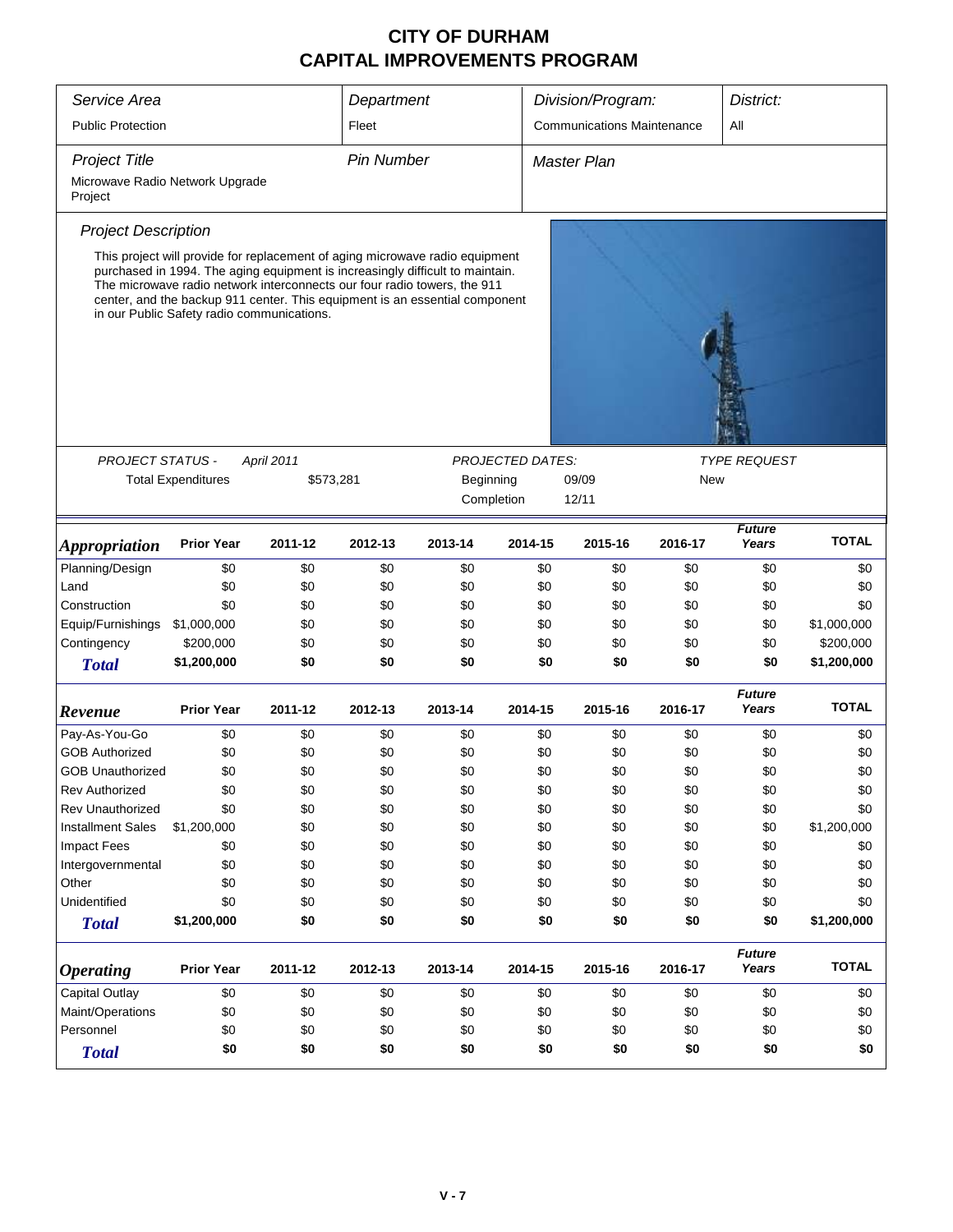| Service Area                               |                                                                                                                                                                                                                                                                                                                                                                        |            | Department        |           |                         | Division/Program:                 |         | District:              |              |  |
|--------------------------------------------|------------------------------------------------------------------------------------------------------------------------------------------------------------------------------------------------------------------------------------------------------------------------------------------------------------------------------------------------------------------------|------------|-------------------|-----------|-------------------------|-----------------------------------|---------|------------------------|--------------|--|
| <b>Public Protection</b>                   |                                                                                                                                                                                                                                                                                                                                                                        |            | Fleet             |           |                         | <b>Communications Maintenance</b> |         | All                    |              |  |
| <b>Project Title</b>                       |                                                                                                                                                                                                                                                                                                                                                                        |            | <b>Pin Number</b> |           |                         | <b>Master Plan</b>                |         |                        |              |  |
| Microwave Radio Network Upgrade<br>Project |                                                                                                                                                                                                                                                                                                                                                                        |            |                   |           |                         |                                   |         |                        |              |  |
| <b>Project Description</b>                 |                                                                                                                                                                                                                                                                                                                                                                        |            |                   |           |                         |                                   |         |                        |              |  |
|                                            | This project will provide for replacement of aging microwave radio equipment<br>purchased in 1994. The aging equipment is increasingly difficult to maintain.<br>The microwave radio network interconnects our four radio towers, the 911<br>center, and the backup 911 center. This equipment is an essential component<br>in our Public Safety radio communications. |            |                   |           |                         |                                   |         |                        |              |  |
|                                            |                                                                                                                                                                                                                                                                                                                                                                        |            |                   |           |                         |                                   |         |                        |              |  |
| PROJECT STATUS -                           |                                                                                                                                                                                                                                                                                                                                                                        | April 2011 |                   |           | <b>PROJECTED DATES:</b> |                                   |         | <b>TYPE REQUEST</b>    |              |  |
|                                            | <b>Total Expenditures</b>                                                                                                                                                                                                                                                                                                                                              | \$573,281  |                   | Beginning |                         | 09/09<br>New                      |         |                        |              |  |
|                                            |                                                                                                                                                                                                                                                                                                                                                                        |            |                   |           | Completion              | 12/11                             |         |                        |              |  |
| <i><b>Appropriation</b></i>                | <b>Prior Year</b>                                                                                                                                                                                                                                                                                                                                                      | 2011-12    | 2012-13           | 2013-14   | 2014-15                 | 2015-16                           | 2016-17 | <b>Future</b><br>Years | <b>TOTAL</b> |  |
| Planning/Design                            | \$0                                                                                                                                                                                                                                                                                                                                                                    | \$0        | \$0               | \$0       | \$0                     | \$0                               | \$0     | \$0                    | \$0          |  |
| Land                                       | \$0                                                                                                                                                                                                                                                                                                                                                                    | \$0        | \$0               | \$0       | \$0                     | \$0                               | \$0     | \$0                    | \$0          |  |
| Construction                               | \$0                                                                                                                                                                                                                                                                                                                                                                    | \$0        | \$0               | \$0       | \$0                     | \$0                               | \$0     | \$0                    | \$0          |  |
| Equip/Furnishings                          | \$1,000,000                                                                                                                                                                                                                                                                                                                                                            | \$0        | \$0               | \$0       | \$0                     | \$0                               | \$0     | \$0                    | \$1,000,000  |  |
| Contingency                                | \$200,000                                                                                                                                                                                                                                                                                                                                                              | \$0        | \$0               | \$0       | \$0                     | \$0                               | \$0     | \$0                    | \$200,000    |  |
| <b>Total</b>                               | \$1,200,000                                                                                                                                                                                                                                                                                                                                                            | \$0        | \$0               | \$0       | \$0                     | \$0                               | \$0     | \$0                    | \$1,200,000  |  |
| Revenue                                    | <b>Prior Year</b>                                                                                                                                                                                                                                                                                                                                                      | 2011-12    | 2012-13           | 2013-14   | 2014-15                 | 2015-16                           | 2016-17 | <b>Future</b><br>Years | <b>TOTAL</b> |  |
| Pay-As-You-Go                              | \$0                                                                                                                                                                                                                                                                                                                                                                    | \$0        | \$0               | \$0       | \$0                     | \$0                               | \$0     | \$0                    | \$0          |  |
| <b>GOB Authorized</b>                      | \$0                                                                                                                                                                                                                                                                                                                                                                    | \$0        | \$0               | \$0       | \$0                     | \$0                               | \$0     | \$0                    | \$0          |  |
| <b>GOB Unauthorized</b>                    | \$0                                                                                                                                                                                                                                                                                                                                                                    | \$0        | \$0               | \$0       | \$0                     | \$0                               | \$0     | \$0                    | \$0          |  |
| Rev Authorized                             | \$0                                                                                                                                                                                                                                                                                                                                                                    | \$0        | \$0               | \$0       | \$0                     | \$0                               | \$0     | \$0                    | \$0          |  |
| Rev Unauthorized                           | \$0                                                                                                                                                                                                                                                                                                                                                                    | \$0        | \$0               | \$0       | \$0                     | \$0                               | \$0     | \$0                    | \$0          |  |
| <b>Installment Sales</b>                   | \$1,200,000                                                                                                                                                                                                                                                                                                                                                            | \$0        | \$0               | \$0       | \$0                     | \$0                               | \$0     | \$0                    | \$1,200,000  |  |
| <b>Impact Fees</b>                         | \$0                                                                                                                                                                                                                                                                                                                                                                    | \$0        | \$0               | \$0       | \$0                     | \$0                               | \$0     | \$0                    | \$0          |  |
| Intergovernmental                          | \$0                                                                                                                                                                                                                                                                                                                                                                    | \$0        | \$0               | \$0       | \$0                     | \$0                               | \$0     | \$0                    | \$0          |  |
| Other                                      | \$0                                                                                                                                                                                                                                                                                                                                                                    | \$0        | \$0               | \$0       | \$0                     | \$0                               | \$0     | \$0                    | \$0          |  |
| Unidentified                               | \$0                                                                                                                                                                                                                                                                                                                                                                    | \$0        | \$0               | \$0       | \$0                     | \$0                               | \$0     | \$0                    | \$0          |  |
| <b>Total</b>                               | \$1,200,000                                                                                                                                                                                                                                                                                                                                                            | \$0        | \$0               | \$0       | \$0                     | \$0                               | \$0     | \$0                    | \$1,200,000  |  |
| <b>Operating</b>                           | <b>Prior Year</b>                                                                                                                                                                                                                                                                                                                                                      | 2011-12    | 2012-13           | 2013-14   | 2014-15                 | 2015-16                           | 2016-17 | <b>Future</b><br>Years | <b>TOTAL</b> |  |
| Capital Outlay                             | \$0                                                                                                                                                                                                                                                                                                                                                                    | \$0        | \$0               | \$0       | \$0                     | \$0                               | \$0     | \$0                    | \$0          |  |
| Maint/Operations                           | \$0                                                                                                                                                                                                                                                                                                                                                                    | \$0        | \$0               | \$0       | \$0                     | \$0                               | \$0     | \$0                    | \$0          |  |
| Personnel                                  | \$0                                                                                                                                                                                                                                                                                                                                                                    | \$0        | \$0               | \$0       | \$0                     | \$0                               | \$0     | \$0                    | \$0          |  |
| <b>Total</b>                               | \$0                                                                                                                                                                                                                                                                                                                                                                    | \$0        | \$0               | \$0       | \$0                     | \$0                               | \$0     | \$0                    | \$0          |  |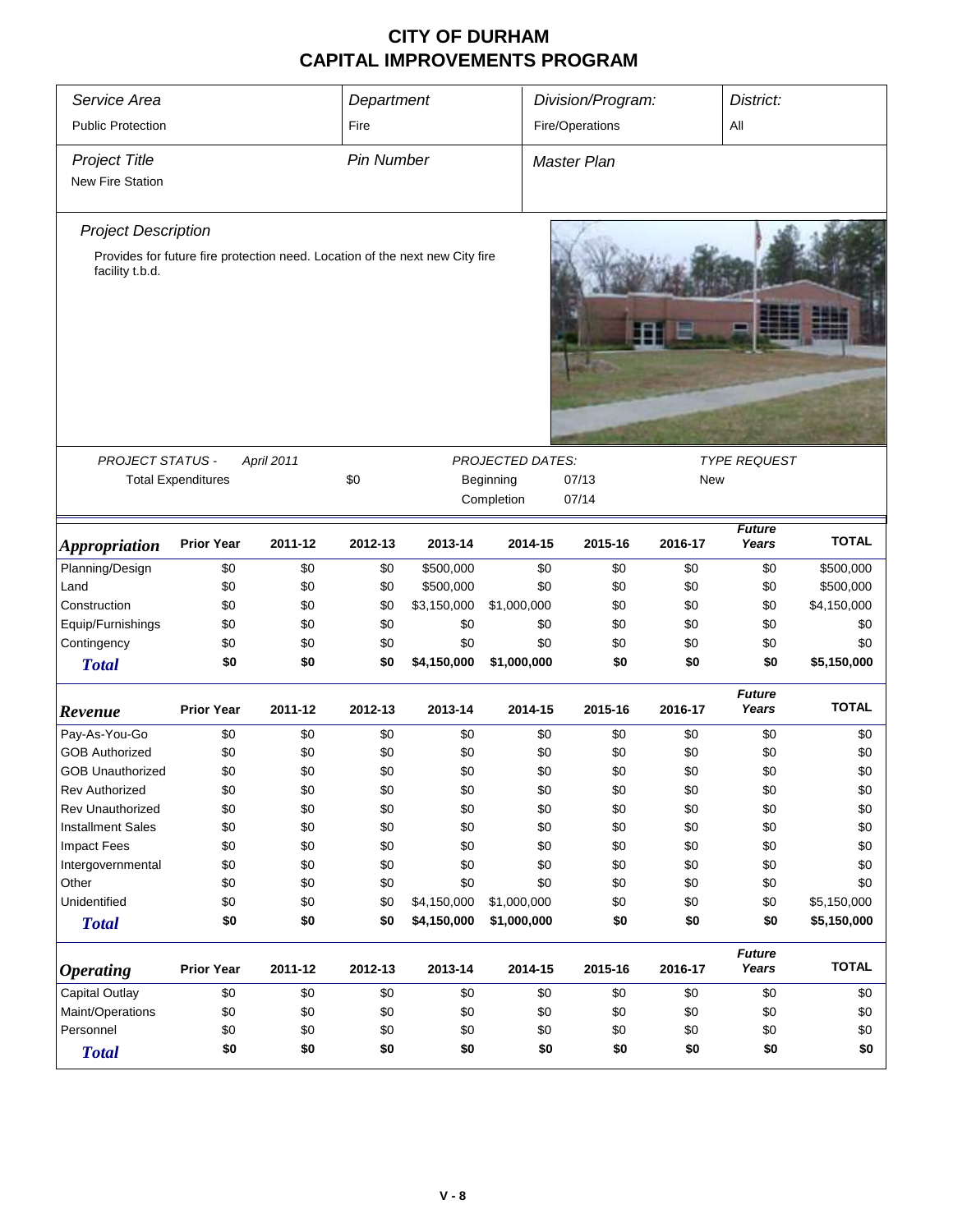| Service Area<br><b>Public Protection</b> |                                                                              |            | Department        |             |                         | Division/Program: |            | District:              |              |  |
|------------------------------------------|------------------------------------------------------------------------------|------------|-------------------|-------------|-------------------------|-------------------|------------|------------------------|--------------|--|
|                                          |                                                                              |            | Fire              |             |                         | Fire/Operations   |            | All                    |              |  |
| <b>Project Title</b>                     |                                                                              |            | <b>Pin Number</b> |             |                         | Master Plan       |            |                        |              |  |
| <b>New Fire Station</b>                  |                                                                              |            |                   |             |                         |                   |            |                        |              |  |
| <b>Project Description</b>               |                                                                              |            |                   |             |                         |                   |            |                        |              |  |
|                                          | Provides for future fire protection need. Location of the next new City fire |            |                   |             |                         |                   |            |                        |              |  |
| facility t.b.d.                          |                                                                              |            |                   |             |                         |                   |            |                        |              |  |
| PROJECT STATUS -                         |                                                                              | April 2011 |                   |             | <b>PROJECTED DATES:</b> |                   |            | <b>TYPE REQUEST</b>    |              |  |
|                                          | <b>Total Expenditures</b>                                                    |            | \$0               |             | Beginning               | 07/13             | <b>New</b> |                        |              |  |
|                                          |                                                                              |            |                   |             | Completion              | 07/14             |            |                        |              |  |
|                                          |                                                                              |            |                   |             |                         |                   |            |                        |              |  |
| <i><b>Appropriation</b></i>              | <b>Prior Year</b>                                                            | 2011-12    | 2012-13           | 2013-14     | 2014-15                 | 2015-16           | 2016-17    | <b>Future</b><br>Years | <b>TOTAL</b> |  |
| Planning/Design                          | \$0                                                                          | \$0        | \$0               | \$500,000   | \$0                     | \$0               | \$0        | \$0                    | \$500,000    |  |
| Land                                     | \$0                                                                          | \$0        | \$0               | \$500,000   | \$0                     | \$0               | \$0        | \$0                    | \$500,000    |  |
| Construction                             | \$0                                                                          | \$0        | \$0               | \$3,150,000 | \$1,000,000             | \$0               | \$0        | \$0                    | \$4,150,000  |  |
| Equip/Furnishings                        | \$0                                                                          | \$0        | \$0               | \$0         | \$0                     | \$0               | \$0        | \$0                    | \$0          |  |
| Contingency                              | \$0                                                                          | \$0        | \$0               | \$0         | \$0                     | \$0               | \$0        | \$0                    | \$0          |  |
| <b>Total</b>                             | \$0                                                                          | \$0        | \$0               | \$4,150,000 | \$1,000,000             | \$0               | \$0        | \$0                    | \$5,150,000  |  |
| Revenue                                  | <b>Prior Year</b>                                                            | 2011-12    | 2012-13           | 2013-14     | 2014-15                 | 2015-16           | 2016-17    | <b>Future</b><br>Years | <b>TOTAL</b> |  |
| Pay-As-You-Go                            | \$0                                                                          | \$0        | \$0               | \$0         | \$0                     | \$0               | \$0        | \$0                    | \$0          |  |
| <b>GOB Authorized</b>                    | \$0                                                                          | \$0        | \$0               | \$0         | \$0                     | \$0               | \$0        | \$0                    | \$0          |  |
| <b>GOB Unauthorized</b>                  | \$0                                                                          | \$0        | \$0               | \$0         | \$0                     | \$0               | \$0        | \$0                    | \$0          |  |
| <b>Rev Authorized</b>                    | \$0                                                                          | \$0        | \$0               | \$0         | \$0                     | \$0               | \$0        | \$0                    | \$0          |  |
| Rev Unauthorized                         | \$0                                                                          | \$0        | \$0               | \$0         | \$0                     | \$0               | \$0        | \$0                    | \$0          |  |
| <b>Installment Sales</b>                 | \$0                                                                          | \$0        | \$0               | \$0         | \$0                     | \$0               | \$0        | \$0                    | \$0          |  |
| <b>Impact Fees</b>                       | \$0                                                                          | \$0        | \$0               | \$0         | \$0                     | \$0               | \$0        | \$0                    | \$0          |  |
| Intergovernmental                        | \$0                                                                          | \$0        | \$0               | \$0         | \$0                     | \$0               | \$0        | \$0                    | \$0          |  |
| Other                                    | \$0                                                                          | \$0        | \$0               | \$0         | \$0                     | \$0               | \$0        | \$0                    | \$0          |  |
| Unidentified                             | \$0                                                                          | \$0        | \$0               | \$4,150,000 | \$1,000,000             | \$0               | \$0        | \$0                    | \$5,150,000  |  |
| <b>Total</b>                             | \$0                                                                          | \$0        | \$0               | \$4,150,000 | \$1,000,000             | \$0               | \$0        | \$0                    | \$5,150,000  |  |
| <i><b>Operating</b></i>                  | <b>Prior Year</b>                                                            | 2011-12    | 2012-13           | 2013-14     | 2014-15                 | 2015-16           | 2016-17    | <b>Future</b><br>Years | <b>TOTAL</b> |  |
| Capital Outlay                           | \$0                                                                          | \$0        | \$0               | \$0         | \$0                     | \$0               | \$0        | \$0                    | \$0          |  |
| Maint/Operations                         | \$0                                                                          | \$0        | \$0               | \$0         | \$0                     | \$0               | \$0        | \$0                    | \$0          |  |
| Personnel                                | \$0                                                                          | \$0        | \$0               | \$0         | \$0                     | \$0               | \$0        | \$0                    | \$0          |  |
| <b>Total</b>                             | \$0                                                                          | \$0        | \$0               | \$0         | \$0                     | \$0               | \$0        | \$0                    | \$0          |  |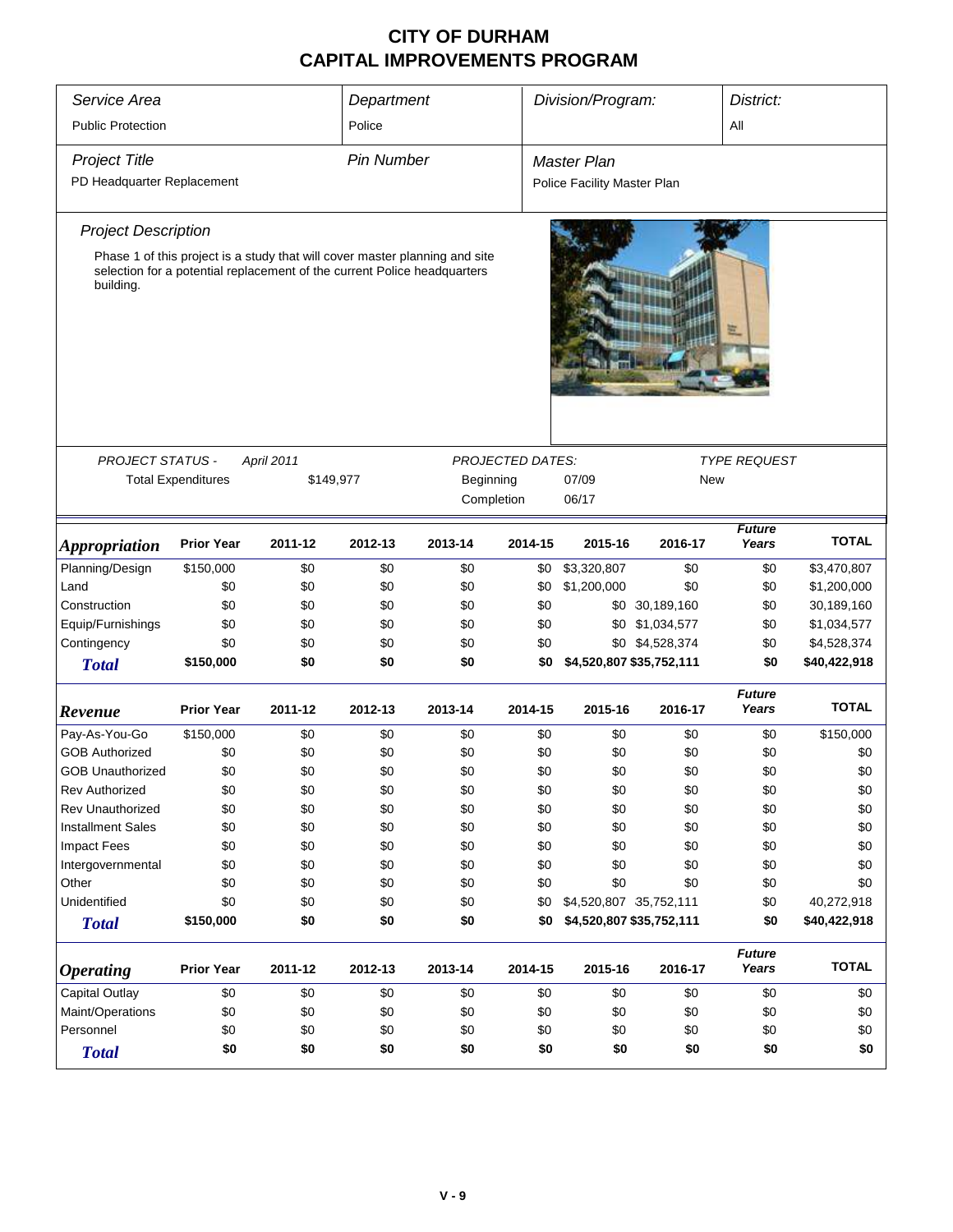| Service Area                |                           |                                                                          | Department        |                                                                             |                         | Division/Program:           |                 | District:              |              |
|-----------------------------|---------------------------|--------------------------------------------------------------------------|-------------------|-----------------------------------------------------------------------------|-------------------------|-----------------------------|-----------------|------------------------|--------------|
| <b>Public Protection</b>    |                           |                                                                          | Police            |                                                                             |                         |                             |                 | All                    |              |
|                             |                           |                                                                          |                   |                                                                             |                         |                             |                 |                        |              |
| <b>Project Title</b>        |                           |                                                                          | <b>Pin Number</b> |                                                                             |                         | <b>Master Plan</b>          |                 |                        |              |
| PD Headquarter Replacement  |                           |                                                                          |                   |                                                                             |                         | Police Facility Master Plan |                 |                        |              |
| <b>Project Description</b>  |                           |                                                                          |                   |                                                                             |                         |                             |                 |                        |              |
| building.                   |                           | selection for a potential replacement of the current Police headquarters |                   | Phase 1 of this project is a study that will cover master planning and site |                         |                             |                 |                        |              |
| PROJECT STATUS -            |                           | April 2011                                                               |                   |                                                                             | <b>PROJECTED DATES:</b> |                             |                 | <b>TYPE REQUEST</b>    |              |
|                             | <b>Total Expenditures</b> | \$149,977                                                                |                   | Beginning                                                                   |                         | 07/09                       | <b>New</b>      |                        |              |
|                             |                           |                                                                          |                   | Completion                                                                  |                         | 06/17                       |                 |                        |              |
|                             |                           |                                                                          |                   |                                                                             |                         |                             |                 | <b>Future</b>          | <b>TOTAL</b> |
| <i><b>Appropriation</b></i> | <b>Prior Year</b>         | 2011-12                                                                  | 2012-13           | 2013-14                                                                     | 2014-15                 | 2015-16                     | 2016-17         | Years                  |              |
| Planning/Design             | \$150,000                 | \$0                                                                      | \$0               | \$0                                                                         | \$0                     | \$3,320,807                 | \$0             | \$0                    | \$3,470,807  |
| Land                        | \$0                       | \$0                                                                      | \$0               | \$0                                                                         | \$0                     | \$1,200,000                 | \$0             | \$0                    | \$1,200,000  |
| Construction                | \$0                       | \$0                                                                      | \$0               | \$0                                                                         | \$0                     |                             | \$0 30,189,160  | \$0                    | 30,189,160   |
| Equip/Furnishings           | \$0                       | \$0                                                                      | \$0               | \$0                                                                         | \$0                     |                             | \$0 \$1,034,577 | \$0                    | \$1,034,577  |
| Contingency                 | \$0                       | \$0                                                                      | \$0               | \$0                                                                         | \$0                     |                             | \$0 \$4,528,374 | \$0                    | \$4,528,374  |
| <b>Total</b>                | \$150,000                 | \$0                                                                      | \$0               | \$0                                                                         | \$0                     | \$4,520,807 \$35,752,111    |                 | \$0                    | \$40,422,918 |
| Revenue                     | <b>Prior Year</b>         | 2011-12                                                                  | 2012-13           | 2013-14                                                                     | 2014-15                 | 2015-16                     | 2016-17         | <b>Future</b><br>Years | <b>TOTAL</b> |
| Pay-As-You-Go               | \$150,000                 | \$0                                                                      | \$0               | \$0                                                                         | \$0                     | \$0                         | \$0             | \$0                    | \$150,000    |
| <b>GOB Authorized</b>       | \$0                       | \$0                                                                      | \$0               | \$0                                                                         | \$0                     | \$0                         | \$0             | \$0                    | \$0          |
| <b>GOB Unauthorized</b>     | \$0                       | \$0                                                                      | \$0               | \$0                                                                         | \$0                     | \$0                         | \$0             | \$0                    | \$0          |
| <b>Rev Authorized</b>       | \$0                       | \$0                                                                      | \$0               | \$0                                                                         | \$0                     | \$0                         | \$0             | \$0                    | \$0          |
| Rev Unauthorized            | \$0                       | \$0                                                                      | \$0               | \$0                                                                         | \$0                     | \$0                         | \$0             | \$0                    | \$0          |
| <b>Installment Sales</b>    | \$0                       | \$0                                                                      | \$0               | \$0                                                                         | \$0                     | \$0                         | \$0             | \$0                    | \$0          |
| Impact Fees                 | \$0                       | \$0                                                                      | \$0               | \$0                                                                         | \$0                     | \$0                         | \$0             | \$0                    | \$0          |
| Intergovernmental           | \$0                       | \$0                                                                      | \$0               | \$0                                                                         | \$0                     | \$0                         | \$0             | \$0                    | \$0          |
| Other                       | \$0                       | \$0                                                                      | \$0               | \$0                                                                         | \$0                     | \$0                         | \$0             | \$0                    | \$0          |
| Unidentified                | \$0                       | \$0                                                                      | \$0               | \$0                                                                         | \$0                     | \$4,520,807 35,752,111      |                 | \$0                    | 40,272,918   |
| <b>Total</b>                | \$150,000                 | \$0                                                                      | \$0               | \$0                                                                         | \$0                     | \$4,520,807 \$35,752,111    |                 | \$0                    | \$40,422,918 |
| <b>Operating</b>            | <b>Prior Year</b>         | 2011-12                                                                  | 2012-13           | 2013-14                                                                     | 2014-15                 | 2015-16                     | 2016-17         | <b>Future</b><br>Years | <b>TOTAL</b> |
| Capital Outlay              | \$0                       | \$0                                                                      | \$0               | \$0                                                                         | \$0                     | \$0                         | \$0             | \$0                    | \$0          |
| Maint/Operations            | \$0                       | \$0                                                                      | \$0               | \$0                                                                         | \$0                     | \$0                         | \$0             | \$0                    | \$0          |
| Personnel                   | \$0                       | \$0                                                                      | \$0               | \$0                                                                         | \$0                     | \$0                         | \$0             | \$0                    | \$0          |
| <b>Total</b>                | \$0                       | \$0                                                                      | \$0               | \$0                                                                         | \$0                     | \$0                         | \$0             | \$0                    | \$0          |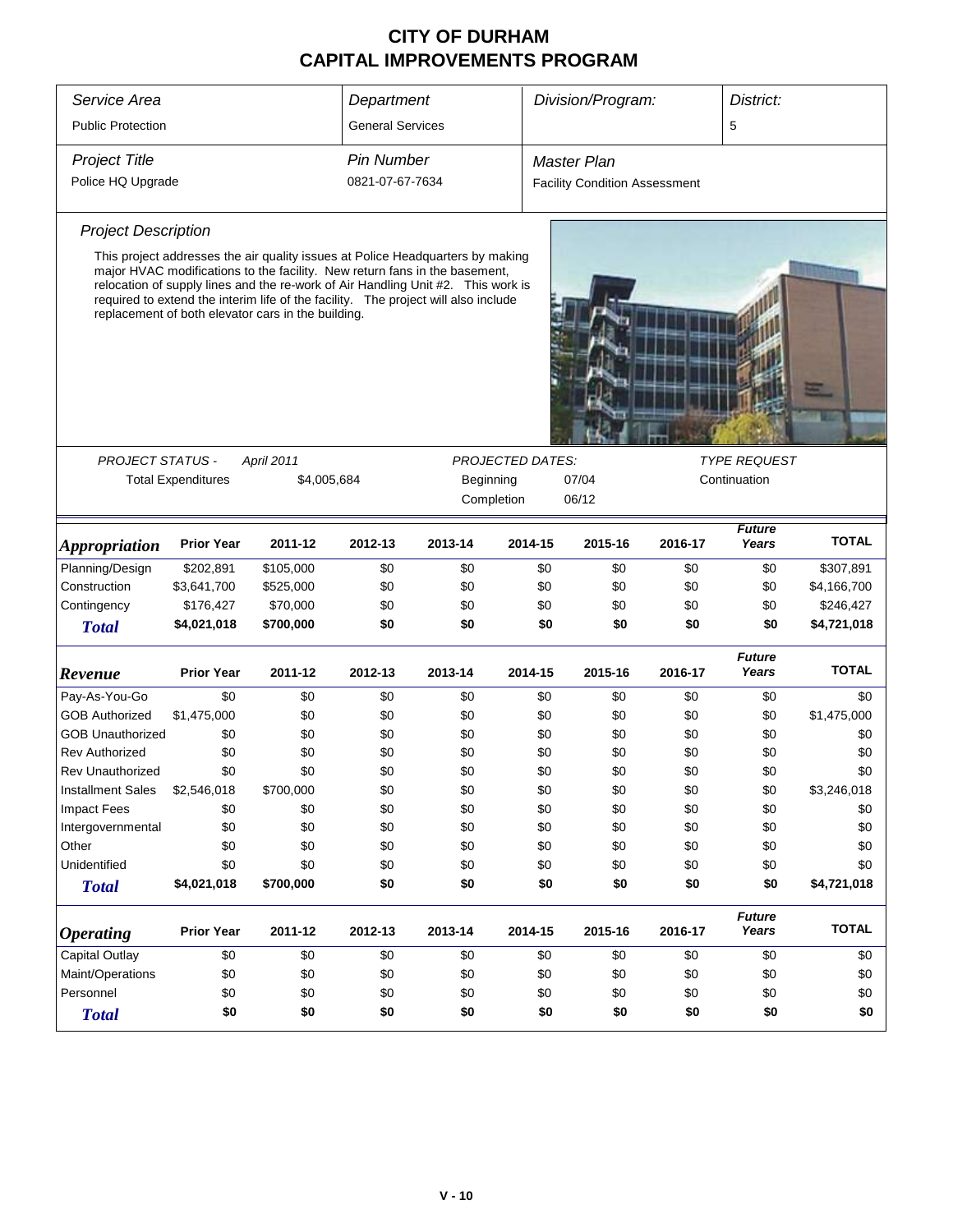| Service Area<br><b>Public Protection</b> |                                                                                                                                             |                                                                                                                                                                                                                                                                                                                                                                                              | Department<br><b>General Services</b> |         |         | Division/Program:                    |         | District:<br>5         |              |
|------------------------------------------|---------------------------------------------------------------------------------------------------------------------------------------------|----------------------------------------------------------------------------------------------------------------------------------------------------------------------------------------------------------------------------------------------------------------------------------------------------------------------------------------------------------------------------------------------|---------------------------------------|---------|---------|--------------------------------------|---------|------------------------|--------------|
|                                          |                                                                                                                                             |                                                                                                                                                                                                                                                                                                                                                                                              |                                       |         |         |                                      |         |                        |              |
| <b>Project Title</b>                     |                                                                                                                                             |                                                                                                                                                                                                                                                                                                                                                                                              | <b>Pin Number</b>                     |         |         | <b>Master Plan</b>                   |         |                        |              |
| Police HQ Upgrade                        |                                                                                                                                             |                                                                                                                                                                                                                                                                                                                                                                                              | 0821-07-67-7634                       |         |         | <b>Facility Condition Assessment</b> |         |                        |              |
| <b>Project Description</b>               |                                                                                                                                             |                                                                                                                                                                                                                                                                                                                                                                                              |                                       |         |         |                                      |         |                        |              |
|                                          |                                                                                                                                             | This project addresses the air quality issues at Police Headquarters by making<br>major HVAC modifications to the facility. New return fans in the basement,<br>relocation of supply lines and the re-work of Air Handling Unit #2. This work is<br>required to extend the interim life of the facility. The project will also include<br>replacement of both elevator cars in the building. |                                       |         |         |                                      |         |                        |              |
|                                          |                                                                                                                                             |                                                                                                                                                                                                                                                                                                                                                                                              |                                       |         |         |                                      |         |                        |              |
|                                          | <b>TYPE REQUEST</b><br><b>PROJECT STATUS -</b><br><b>PROJECTED DATES:</b><br><b>April 2011</b><br><b>Total Expenditures</b><br>Continuation |                                                                                                                                                                                                                                                                                                                                                                                              |                                       |         |         |                                      |         |                        |              |
|                                          |                                                                                                                                             | \$4,005,684<br>Beginning<br>07/04<br>Completion<br>06/12                                                                                                                                                                                                                                                                                                                                     |                                       |         |         |                                      |         |                        |              |
|                                          |                                                                                                                                             |                                                                                                                                                                                                                                                                                                                                                                                              |                                       |         |         |                                      |         |                        |              |
| <b>Appropriation</b>                     | <b>Prior Year</b>                                                                                                                           | 2011-12                                                                                                                                                                                                                                                                                                                                                                                      | 2012-13                               | 2013-14 | 2014-15 | 2015-16                              | 2016-17 | <b>Future</b><br>Years | <b>TOTAL</b> |
| Planning/Design                          | \$202,891                                                                                                                                   | \$105,000                                                                                                                                                                                                                                                                                                                                                                                    | \$0                                   | \$0     | \$0     | \$0                                  | \$0     | \$0                    | \$307,891    |
| Construction                             | \$3,641,700                                                                                                                                 | \$525,000                                                                                                                                                                                                                                                                                                                                                                                    | \$0                                   | \$0     | \$0     | \$0                                  | \$0     | \$0                    | \$4,166,700  |
| Contingency                              | \$176,427                                                                                                                                   | \$70,000                                                                                                                                                                                                                                                                                                                                                                                     | \$0                                   | \$0     | \$0     | \$0                                  | \$0     | \$0                    | \$246,427    |
| <b>Total</b>                             | \$4,021,018                                                                                                                                 | \$700,000                                                                                                                                                                                                                                                                                                                                                                                    | \$0                                   | \$0     | \$0     | \$0                                  | \$0     | \$0                    | \$4,721,018  |
| Revenue                                  | <b>Prior Year</b>                                                                                                                           | 2011-12                                                                                                                                                                                                                                                                                                                                                                                      | 2012-13                               | 2013-14 | 2014-15 | 2015-16                              | 2016-17 | <b>Future</b><br>Years | <b>TOTAL</b> |
| Pay-As-You-Go                            | \$0                                                                                                                                         | \$0                                                                                                                                                                                                                                                                                                                                                                                          | \$0                                   | \$0     | \$0     | \$0                                  | \$0     | \$0                    | \$0          |
| <b>GOB Authorized</b>                    | \$1,475,000                                                                                                                                 | \$0                                                                                                                                                                                                                                                                                                                                                                                          | \$0                                   | \$0     | \$0     | \$0                                  | \$0     | \$0                    | \$1,475,000  |
| <b>GOB Unauthorized</b>                  | \$0                                                                                                                                         | \$0                                                                                                                                                                                                                                                                                                                                                                                          | \$0                                   | \$0     | \$0     | \$0                                  | \$0     | \$0                    | \$0          |
| <b>Rev Authorized</b>                    | \$0                                                                                                                                         | \$0                                                                                                                                                                                                                                                                                                                                                                                          | \$0                                   | \$0     | \$0     | \$0                                  | \$0     | \$0                    | \$0          |
| <b>Rev Unauthorized</b>                  | \$0                                                                                                                                         | \$0                                                                                                                                                                                                                                                                                                                                                                                          | \$0                                   | \$0     | \$0     | \$0                                  | \$0     | \$0                    | \$0          |
| <b>Installment Sales</b>                 | \$2,546,018                                                                                                                                 | \$700,000                                                                                                                                                                                                                                                                                                                                                                                    | \$0                                   | \$0     | \$0     | \$0                                  | \$0     | \$0                    | \$3,246,018  |
| <b>Impact Fees</b>                       | \$0                                                                                                                                         | \$0                                                                                                                                                                                                                                                                                                                                                                                          | \$0                                   | \$0     | \$0     | \$0                                  | \$0     | \$0                    | \$0          |
| Intergovernmental                        | \$0                                                                                                                                         | \$0                                                                                                                                                                                                                                                                                                                                                                                          | \$0                                   | \$0     | \$0     | \$0                                  | \$0     | \$0                    | \$0          |
| Other                                    | \$0                                                                                                                                         | \$0                                                                                                                                                                                                                                                                                                                                                                                          | \$0                                   | \$0     | \$0     | \$0                                  | \$0     | \$0                    | \$0          |
| Unidentified                             | \$0                                                                                                                                         | \$0                                                                                                                                                                                                                                                                                                                                                                                          | \$0                                   | \$0     | \$0     | \$0                                  | \$0     | \$0                    | \$0          |
| <b>Total</b>                             | \$4,021,018                                                                                                                                 | \$700,000                                                                                                                                                                                                                                                                                                                                                                                    | \$0                                   | \$0     | \$0     | \$0                                  | \$0     | \$0                    | \$4,721,018  |
| <b>Operating</b>                         | <b>Prior Year</b>                                                                                                                           | 2011-12                                                                                                                                                                                                                                                                                                                                                                                      | 2012-13                               | 2013-14 | 2014-15 | 2015-16                              | 2016-17 | <b>Future</b><br>Years | <b>TOTAL</b> |
| <b>Capital Outlay</b>                    | \$0                                                                                                                                         | \$0                                                                                                                                                                                                                                                                                                                                                                                          | \$0                                   | \$0     | \$0     | \$0                                  | \$0     | \$0                    | \$0          |
| Maint/Operations                         | \$0                                                                                                                                         | \$0                                                                                                                                                                                                                                                                                                                                                                                          | \$0                                   | \$0     | \$0     | \$0                                  | \$0     | \$0                    | \$0          |
| Personnel                                | \$0                                                                                                                                         | \$0                                                                                                                                                                                                                                                                                                                                                                                          | \$0                                   | \$0     | \$0     | \$0                                  | \$0     | \$0                    | \$0          |
| <b>Total</b>                             | \$0                                                                                                                                         | \$0                                                                                                                                                                                                                                                                                                                                                                                          | \$0                                   | \$0     | \$0     | \$0                                  | \$0     | \$0                    | \$0          |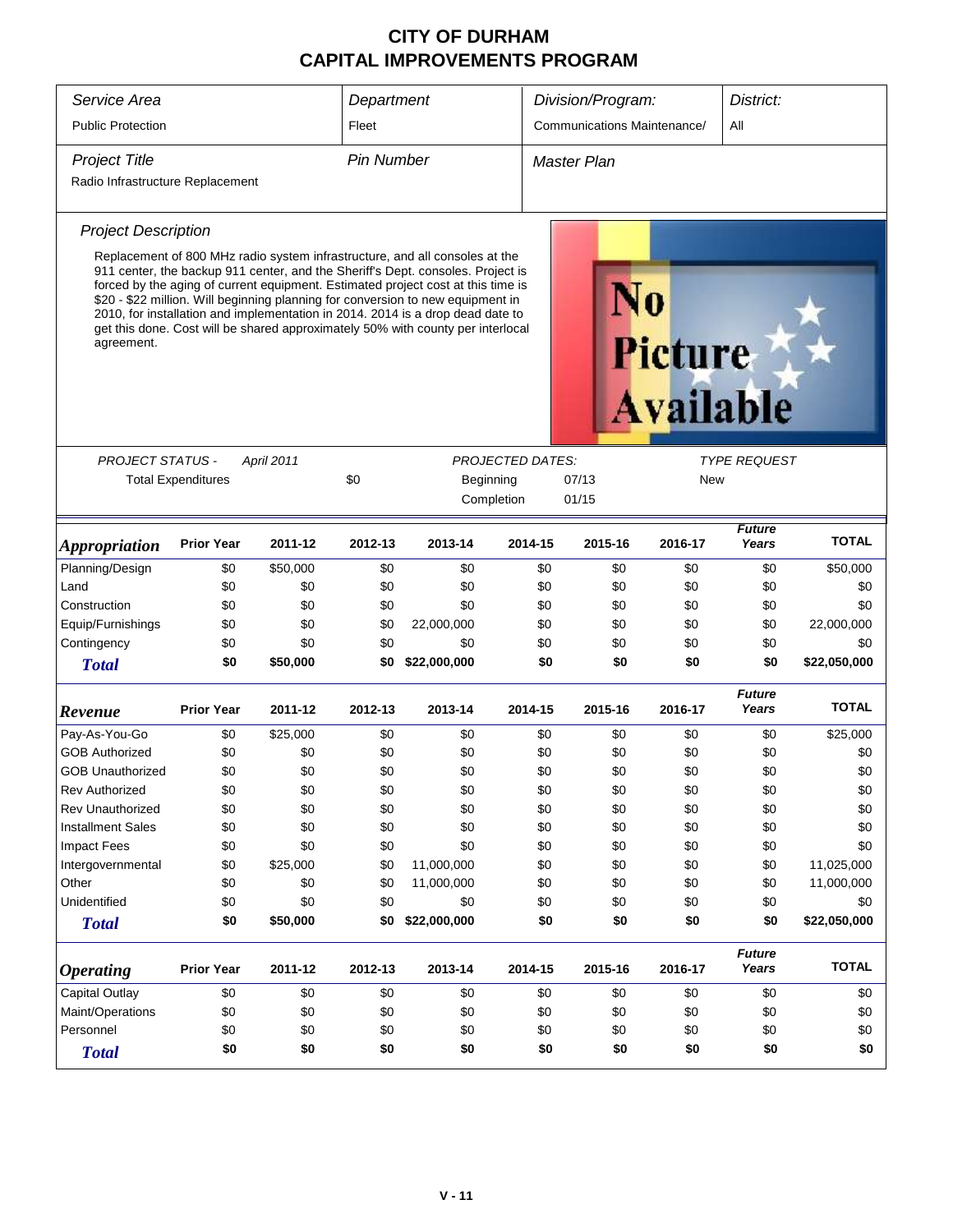| Service Area<br>Department<br>Division/Program:<br>District:<br><b>Communications Maintenance/</b><br><b>Public Protection</b><br>Fleet<br>All<br><b>Project Title</b><br><b>Pin Number</b><br><b>Master Plan</b><br>Radio Infrastructure Replacement<br><b>Project Description</b><br>Replacement of 800 MHz radio system infrastructure, and all consoles at the<br>911 center, the backup 911 center, and the Sheriff's Dept. consoles. Project is<br>forced by the aging of current equipment. Estimated project cost at this time is<br>\$20 - \$22 million. Will beginning planning for conversion to new equipment in<br>2010, for installation and implementation in 2014. 2014 is a drop dead date to<br>get this done. Cost will be shared approximately 50% with county per interlocal<br>agreement.<br><b>Picture</b><br><b>Available</b><br><b>PROJECT STATUS -</b><br>April 2011<br><b>PROJECTED DATES:</b><br><b>TYPE REQUEST</b><br>\$0<br><b>Total Expenditures</b><br>Beginning<br>07/13<br>New<br>Completion<br>01/15<br><b>Future</b><br><b>TOTAL</b><br>Years<br><b>Prior Year</b><br>2011-12<br>2012-13<br>2013-14<br>2014-15<br>2015-16<br>2016-17<br><i><b>Appropriation</b></i><br>Planning/Design<br>\$0<br>\$50,000<br>\$0<br>\$0<br>\$0<br>\$0<br>\$0<br>\$0<br>\$50,000<br>Land<br>\$0<br>\$0<br>\$0<br>\$0<br>\$0<br>\$0<br>\$0<br>\$0<br>\$0<br>Construction<br>\$0<br>\$0<br>\$0<br>\$0<br>\$0<br>\$0<br>\$0<br>\$0<br>\$0<br>Equip/Furnishings<br>\$0<br>\$0<br>\$0<br>22,000,000<br>\$0<br>\$0<br>\$0<br>\$0<br>22,000,000<br>\$0<br>Contingency<br>\$0<br>\$0<br>\$0<br>\$0<br>\$0<br>\$0<br>\$0<br>\$0<br>\$0<br>\$50,000<br>\$22,000,000<br>\$0<br>\$0<br>\$0<br>\$0<br>\$22,050,000<br>\$0<br><b>Total</b><br><b>Future</b><br><b>TOTAL</b><br><b>Prior Year</b><br>2011-12<br>2012-13<br>2013-14<br>2014-15<br>2015-16<br>2016-17<br>Years<br>\$0<br>\$0<br>\$0<br>\$0<br>\$25,000<br>Pay-As-You-Go<br>\$25,000<br>\$0<br>\$0<br>\$0<br><b>GOB Authorized</b><br>\$0<br>\$0<br>\$0<br>\$0<br>\$0<br>\$0<br>\$0<br>\$0<br>\$0<br>\$0<br>\$0<br>\$0<br>\$0<br>\$0<br>\$0<br>\$0<br>\$0<br>\$0<br><b>GOB Unauthorized</b><br>\$0<br>\$0<br>\$0<br>\$0<br>\$0<br>\$0<br>\$0<br>\$0<br>\$0<br>Rev Authorized<br><b>Rev Unauthorized</b><br>\$0<br>\$0<br>\$0<br>\$0<br>\$0<br>\$0<br>\$0<br>\$0<br>\$0<br><b>Installment Sales</b><br>\$0<br>\$0<br>\$0<br>\$0<br>\$0<br>\$0<br>\$0<br>\$0<br>\$0<br><b>Impact Fees</b><br>\$0<br>\$0<br>\$0<br>\$0<br>\$0<br>\$0<br>\$0<br>\$0<br>\$0<br>\$0<br>\$25,000<br>\$0<br>11,000,000<br>\$0<br>\$0<br>\$0<br>11,025,000<br>Intergovernmental<br>\$0<br>Other<br>\$0<br>\$0<br>\$0<br>11,000,000<br>\$0<br>\$0<br>\$0<br>11,000,000<br>\$0<br>Unidentified<br>\$0<br>\$0<br>\$0<br>\$0<br>\$0<br>\$0<br>\$0<br>\$0<br>\$0<br>\$0<br>\$50,000<br>\$22,000,000<br>\$0<br>\$0<br>\$0<br>\$0<br>\$22,050,000<br>\$0<br><b>Total</b><br><b>Future</b><br><b>TOTAL</b><br><b>Prior Year</b><br>Years<br>2011-12<br>2012-13<br>2013-14<br>2014-15<br>2015-16<br>2016-17<br><b>Operating</b><br>Capital Outlay<br>\$0<br>\$0<br>\$0<br>\$0<br>\$0<br>\$0<br>\$0<br>\$0<br>\$0<br>Maint/Operations<br>\$0<br>\$0<br>\$0<br>\$0<br>\$0<br>\$0<br>\$0<br>\$0<br>\$0<br>Personnel<br>\$0<br>\$0<br>\$0<br>\$0<br>\$0<br>\$0<br>\$0<br>\$0<br>\$0<br>\$0<br>\$0<br>\$0<br>\$0<br>\$0<br>\$0<br>\$0<br>\$0<br>\$0<br><b>Total</b> |         |  |  |  |  |  |  |  |
|------------------------------------------------------------------------------------------------------------------------------------------------------------------------------------------------------------------------------------------------------------------------------------------------------------------------------------------------------------------------------------------------------------------------------------------------------------------------------------------------------------------------------------------------------------------------------------------------------------------------------------------------------------------------------------------------------------------------------------------------------------------------------------------------------------------------------------------------------------------------------------------------------------------------------------------------------------------------------------------------------------------------------------------------------------------------------------------------------------------------------------------------------------------------------------------------------------------------------------------------------------------------------------------------------------------------------------------------------------------------------------------------------------------------------------------------------------------------------------------------------------------------------------------------------------------------------------------------------------------------------------------------------------------------------------------------------------------------------------------------------------------------------------------------------------------------------------------------------------------------------------------------------------------------------------------------------------------------------------------------------------------------------------------------------------------------------------------------------------------------------------------------------------------------------------------------------------------------------------------------------------------------------------------------------------------------------------------------------------------------------------------------------------------------------------------------------------------------------------------------------------------------------------------------------------------------------------------------------------------------------------------------------------------------------------------------------------------------------------------------------------------------------------------------------------------------------------------------------------------------------------------------------------------------------------------------------------------------------------------------------------------------------------------------------------------------------------------------------------------------------------------------------------------------------------------------------------------------------------------------------------------------------------------------------------------------------------------------------------------------------------------------|---------|--|--|--|--|--|--|--|
|                                                                                                                                                                                                                                                                                                                                                                                                                                                                                                                                                                                                                                                                                                                                                                                                                                                                                                                                                                                                                                                                                                                                                                                                                                                                                                                                                                                                                                                                                                                                                                                                                                                                                                                                                                                                                                                                                                                                                                                                                                                                                                                                                                                                                                                                                                                                                                                                                                                                                                                                                                                                                                                                                                                                                                                                                                                                                                                                                                                                                                                                                                                                                                                                                                                                                                                                                                                                |         |  |  |  |  |  |  |  |
|                                                                                                                                                                                                                                                                                                                                                                                                                                                                                                                                                                                                                                                                                                                                                                                                                                                                                                                                                                                                                                                                                                                                                                                                                                                                                                                                                                                                                                                                                                                                                                                                                                                                                                                                                                                                                                                                                                                                                                                                                                                                                                                                                                                                                                                                                                                                                                                                                                                                                                                                                                                                                                                                                                                                                                                                                                                                                                                                                                                                                                                                                                                                                                                                                                                                                                                                                                                                |         |  |  |  |  |  |  |  |
|                                                                                                                                                                                                                                                                                                                                                                                                                                                                                                                                                                                                                                                                                                                                                                                                                                                                                                                                                                                                                                                                                                                                                                                                                                                                                                                                                                                                                                                                                                                                                                                                                                                                                                                                                                                                                                                                                                                                                                                                                                                                                                                                                                                                                                                                                                                                                                                                                                                                                                                                                                                                                                                                                                                                                                                                                                                                                                                                                                                                                                                                                                                                                                                                                                                                                                                                                                                                |         |  |  |  |  |  |  |  |
|                                                                                                                                                                                                                                                                                                                                                                                                                                                                                                                                                                                                                                                                                                                                                                                                                                                                                                                                                                                                                                                                                                                                                                                                                                                                                                                                                                                                                                                                                                                                                                                                                                                                                                                                                                                                                                                                                                                                                                                                                                                                                                                                                                                                                                                                                                                                                                                                                                                                                                                                                                                                                                                                                                                                                                                                                                                                                                                                                                                                                                                                                                                                                                                                                                                                                                                                                                                                |         |  |  |  |  |  |  |  |
|                                                                                                                                                                                                                                                                                                                                                                                                                                                                                                                                                                                                                                                                                                                                                                                                                                                                                                                                                                                                                                                                                                                                                                                                                                                                                                                                                                                                                                                                                                                                                                                                                                                                                                                                                                                                                                                                                                                                                                                                                                                                                                                                                                                                                                                                                                                                                                                                                                                                                                                                                                                                                                                                                                                                                                                                                                                                                                                                                                                                                                                                                                                                                                                                                                                                                                                                                                                                |         |  |  |  |  |  |  |  |
|                                                                                                                                                                                                                                                                                                                                                                                                                                                                                                                                                                                                                                                                                                                                                                                                                                                                                                                                                                                                                                                                                                                                                                                                                                                                                                                                                                                                                                                                                                                                                                                                                                                                                                                                                                                                                                                                                                                                                                                                                                                                                                                                                                                                                                                                                                                                                                                                                                                                                                                                                                                                                                                                                                                                                                                                                                                                                                                                                                                                                                                                                                                                                                                                                                                                                                                                                                                                |         |  |  |  |  |  |  |  |
|                                                                                                                                                                                                                                                                                                                                                                                                                                                                                                                                                                                                                                                                                                                                                                                                                                                                                                                                                                                                                                                                                                                                                                                                                                                                                                                                                                                                                                                                                                                                                                                                                                                                                                                                                                                                                                                                                                                                                                                                                                                                                                                                                                                                                                                                                                                                                                                                                                                                                                                                                                                                                                                                                                                                                                                                                                                                                                                                                                                                                                                                                                                                                                                                                                                                                                                                                                                                |         |  |  |  |  |  |  |  |
|                                                                                                                                                                                                                                                                                                                                                                                                                                                                                                                                                                                                                                                                                                                                                                                                                                                                                                                                                                                                                                                                                                                                                                                                                                                                                                                                                                                                                                                                                                                                                                                                                                                                                                                                                                                                                                                                                                                                                                                                                                                                                                                                                                                                                                                                                                                                                                                                                                                                                                                                                                                                                                                                                                                                                                                                                                                                                                                                                                                                                                                                                                                                                                                                                                                                                                                                                                                                |         |  |  |  |  |  |  |  |
|                                                                                                                                                                                                                                                                                                                                                                                                                                                                                                                                                                                                                                                                                                                                                                                                                                                                                                                                                                                                                                                                                                                                                                                                                                                                                                                                                                                                                                                                                                                                                                                                                                                                                                                                                                                                                                                                                                                                                                                                                                                                                                                                                                                                                                                                                                                                                                                                                                                                                                                                                                                                                                                                                                                                                                                                                                                                                                                                                                                                                                                                                                                                                                                                                                                                                                                                                                                                |         |  |  |  |  |  |  |  |
|                                                                                                                                                                                                                                                                                                                                                                                                                                                                                                                                                                                                                                                                                                                                                                                                                                                                                                                                                                                                                                                                                                                                                                                                                                                                                                                                                                                                                                                                                                                                                                                                                                                                                                                                                                                                                                                                                                                                                                                                                                                                                                                                                                                                                                                                                                                                                                                                                                                                                                                                                                                                                                                                                                                                                                                                                                                                                                                                                                                                                                                                                                                                                                                                                                                                                                                                                                                                |         |  |  |  |  |  |  |  |
|                                                                                                                                                                                                                                                                                                                                                                                                                                                                                                                                                                                                                                                                                                                                                                                                                                                                                                                                                                                                                                                                                                                                                                                                                                                                                                                                                                                                                                                                                                                                                                                                                                                                                                                                                                                                                                                                                                                                                                                                                                                                                                                                                                                                                                                                                                                                                                                                                                                                                                                                                                                                                                                                                                                                                                                                                                                                                                                                                                                                                                                                                                                                                                                                                                                                                                                                                                                                |         |  |  |  |  |  |  |  |
|                                                                                                                                                                                                                                                                                                                                                                                                                                                                                                                                                                                                                                                                                                                                                                                                                                                                                                                                                                                                                                                                                                                                                                                                                                                                                                                                                                                                                                                                                                                                                                                                                                                                                                                                                                                                                                                                                                                                                                                                                                                                                                                                                                                                                                                                                                                                                                                                                                                                                                                                                                                                                                                                                                                                                                                                                                                                                                                                                                                                                                                                                                                                                                                                                                                                                                                                                                                                |         |  |  |  |  |  |  |  |
|                                                                                                                                                                                                                                                                                                                                                                                                                                                                                                                                                                                                                                                                                                                                                                                                                                                                                                                                                                                                                                                                                                                                                                                                                                                                                                                                                                                                                                                                                                                                                                                                                                                                                                                                                                                                                                                                                                                                                                                                                                                                                                                                                                                                                                                                                                                                                                                                                                                                                                                                                                                                                                                                                                                                                                                                                                                                                                                                                                                                                                                                                                                                                                                                                                                                                                                                                                                                |         |  |  |  |  |  |  |  |
|                                                                                                                                                                                                                                                                                                                                                                                                                                                                                                                                                                                                                                                                                                                                                                                                                                                                                                                                                                                                                                                                                                                                                                                                                                                                                                                                                                                                                                                                                                                                                                                                                                                                                                                                                                                                                                                                                                                                                                                                                                                                                                                                                                                                                                                                                                                                                                                                                                                                                                                                                                                                                                                                                                                                                                                                                                                                                                                                                                                                                                                                                                                                                                                                                                                                                                                                                                                                |         |  |  |  |  |  |  |  |
|                                                                                                                                                                                                                                                                                                                                                                                                                                                                                                                                                                                                                                                                                                                                                                                                                                                                                                                                                                                                                                                                                                                                                                                                                                                                                                                                                                                                                                                                                                                                                                                                                                                                                                                                                                                                                                                                                                                                                                                                                                                                                                                                                                                                                                                                                                                                                                                                                                                                                                                                                                                                                                                                                                                                                                                                                                                                                                                                                                                                                                                                                                                                                                                                                                                                                                                                                                                                |         |  |  |  |  |  |  |  |
|                                                                                                                                                                                                                                                                                                                                                                                                                                                                                                                                                                                                                                                                                                                                                                                                                                                                                                                                                                                                                                                                                                                                                                                                                                                                                                                                                                                                                                                                                                                                                                                                                                                                                                                                                                                                                                                                                                                                                                                                                                                                                                                                                                                                                                                                                                                                                                                                                                                                                                                                                                                                                                                                                                                                                                                                                                                                                                                                                                                                                                                                                                                                                                                                                                                                                                                                                                                                |         |  |  |  |  |  |  |  |
|                                                                                                                                                                                                                                                                                                                                                                                                                                                                                                                                                                                                                                                                                                                                                                                                                                                                                                                                                                                                                                                                                                                                                                                                                                                                                                                                                                                                                                                                                                                                                                                                                                                                                                                                                                                                                                                                                                                                                                                                                                                                                                                                                                                                                                                                                                                                                                                                                                                                                                                                                                                                                                                                                                                                                                                                                                                                                                                                                                                                                                                                                                                                                                                                                                                                                                                                                                                                |         |  |  |  |  |  |  |  |
|                                                                                                                                                                                                                                                                                                                                                                                                                                                                                                                                                                                                                                                                                                                                                                                                                                                                                                                                                                                                                                                                                                                                                                                                                                                                                                                                                                                                                                                                                                                                                                                                                                                                                                                                                                                                                                                                                                                                                                                                                                                                                                                                                                                                                                                                                                                                                                                                                                                                                                                                                                                                                                                                                                                                                                                                                                                                                                                                                                                                                                                                                                                                                                                                                                                                                                                                                                                                |         |  |  |  |  |  |  |  |
|                                                                                                                                                                                                                                                                                                                                                                                                                                                                                                                                                                                                                                                                                                                                                                                                                                                                                                                                                                                                                                                                                                                                                                                                                                                                                                                                                                                                                                                                                                                                                                                                                                                                                                                                                                                                                                                                                                                                                                                                                                                                                                                                                                                                                                                                                                                                                                                                                                                                                                                                                                                                                                                                                                                                                                                                                                                                                                                                                                                                                                                                                                                                                                                                                                                                                                                                                                                                | Revenue |  |  |  |  |  |  |  |
|                                                                                                                                                                                                                                                                                                                                                                                                                                                                                                                                                                                                                                                                                                                                                                                                                                                                                                                                                                                                                                                                                                                                                                                                                                                                                                                                                                                                                                                                                                                                                                                                                                                                                                                                                                                                                                                                                                                                                                                                                                                                                                                                                                                                                                                                                                                                                                                                                                                                                                                                                                                                                                                                                                                                                                                                                                                                                                                                                                                                                                                                                                                                                                                                                                                                                                                                                                                                |         |  |  |  |  |  |  |  |
|                                                                                                                                                                                                                                                                                                                                                                                                                                                                                                                                                                                                                                                                                                                                                                                                                                                                                                                                                                                                                                                                                                                                                                                                                                                                                                                                                                                                                                                                                                                                                                                                                                                                                                                                                                                                                                                                                                                                                                                                                                                                                                                                                                                                                                                                                                                                                                                                                                                                                                                                                                                                                                                                                                                                                                                                                                                                                                                                                                                                                                                                                                                                                                                                                                                                                                                                                                                                |         |  |  |  |  |  |  |  |
|                                                                                                                                                                                                                                                                                                                                                                                                                                                                                                                                                                                                                                                                                                                                                                                                                                                                                                                                                                                                                                                                                                                                                                                                                                                                                                                                                                                                                                                                                                                                                                                                                                                                                                                                                                                                                                                                                                                                                                                                                                                                                                                                                                                                                                                                                                                                                                                                                                                                                                                                                                                                                                                                                                                                                                                                                                                                                                                                                                                                                                                                                                                                                                                                                                                                                                                                                                                                |         |  |  |  |  |  |  |  |
|                                                                                                                                                                                                                                                                                                                                                                                                                                                                                                                                                                                                                                                                                                                                                                                                                                                                                                                                                                                                                                                                                                                                                                                                                                                                                                                                                                                                                                                                                                                                                                                                                                                                                                                                                                                                                                                                                                                                                                                                                                                                                                                                                                                                                                                                                                                                                                                                                                                                                                                                                                                                                                                                                                                                                                                                                                                                                                                                                                                                                                                                                                                                                                                                                                                                                                                                                                                                |         |  |  |  |  |  |  |  |
|                                                                                                                                                                                                                                                                                                                                                                                                                                                                                                                                                                                                                                                                                                                                                                                                                                                                                                                                                                                                                                                                                                                                                                                                                                                                                                                                                                                                                                                                                                                                                                                                                                                                                                                                                                                                                                                                                                                                                                                                                                                                                                                                                                                                                                                                                                                                                                                                                                                                                                                                                                                                                                                                                                                                                                                                                                                                                                                                                                                                                                                                                                                                                                                                                                                                                                                                                                                                |         |  |  |  |  |  |  |  |
|                                                                                                                                                                                                                                                                                                                                                                                                                                                                                                                                                                                                                                                                                                                                                                                                                                                                                                                                                                                                                                                                                                                                                                                                                                                                                                                                                                                                                                                                                                                                                                                                                                                                                                                                                                                                                                                                                                                                                                                                                                                                                                                                                                                                                                                                                                                                                                                                                                                                                                                                                                                                                                                                                                                                                                                                                                                                                                                                                                                                                                                                                                                                                                                                                                                                                                                                                                                                |         |  |  |  |  |  |  |  |
|                                                                                                                                                                                                                                                                                                                                                                                                                                                                                                                                                                                                                                                                                                                                                                                                                                                                                                                                                                                                                                                                                                                                                                                                                                                                                                                                                                                                                                                                                                                                                                                                                                                                                                                                                                                                                                                                                                                                                                                                                                                                                                                                                                                                                                                                                                                                                                                                                                                                                                                                                                                                                                                                                                                                                                                                                                                                                                                                                                                                                                                                                                                                                                                                                                                                                                                                                                                                |         |  |  |  |  |  |  |  |
|                                                                                                                                                                                                                                                                                                                                                                                                                                                                                                                                                                                                                                                                                                                                                                                                                                                                                                                                                                                                                                                                                                                                                                                                                                                                                                                                                                                                                                                                                                                                                                                                                                                                                                                                                                                                                                                                                                                                                                                                                                                                                                                                                                                                                                                                                                                                                                                                                                                                                                                                                                                                                                                                                                                                                                                                                                                                                                                                                                                                                                                                                                                                                                                                                                                                                                                                                                                                |         |  |  |  |  |  |  |  |
|                                                                                                                                                                                                                                                                                                                                                                                                                                                                                                                                                                                                                                                                                                                                                                                                                                                                                                                                                                                                                                                                                                                                                                                                                                                                                                                                                                                                                                                                                                                                                                                                                                                                                                                                                                                                                                                                                                                                                                                                                                                                                                                                                                                                                                                                                                                                                                                                                                                                                                                                                                                                                                                                                                                                                                                                                                                                                                                                                                                                                                                                                                                                                                                                                                                                                                                                                                                                |         |  |  |  |  |  |  |  |
|                                                                                                                                                                                                                                                                                                                                                                                                                                                                                                                                                                                                                                                                                                                                                                                                                                                                                                                                                                                                                                                                                                                                                                                                                                                                                                                                                                                                                                                                                                                                                                                                                                                                                                                                                                                                                                                                                                                                                                                                                                                                                                                                                                                                                                                                                                                                                                                                                                                                                                                                                                                                                                                                                                                                                                                                                                                                                                                                                                                                                                                                                                                                                                                                                                                                                                                                                                                                |         |  |  |  |  |  |  |  |
|                                                                                                                                                                                                                                                                                                                                                                                                                                                                                                                                                                                                                                                                                                                                                                                                                                                                                                                                                                                                                                                                                                                                                                                                                                                                                                                                                                                                                                                                                                                                                                                                                                                                                                                                                                                                                                                                                                                                                                                                                                                                                                                                                                                                                                                                                                                                                                                                                                                                                                                                                                                                                                                                                                                                                                                                                                                                                                                                                                                                                                                                                                                                                                                                                                                                                                                                                                                                |         |  |  |  |  |  |  |  |
|                                                                                                                                                                                                                                                                                                                                                                                                                                                                                                                                                                                                                                                                                                                                                                                                                                                                                                                                                                                                                                                                                                                                                                                                                                                                                                                                                                                                                                                                                                                                                                                                                                                                                                                                                                                                                                                                                                                                                                                                                                                                                                                                                                                                                                                                                                                                                                                                                                                                                                                                                                                                                                                                                                                                                                                                                                                                                                                                                                                                                                                                                                                                                                                                                                                                                                                                                                                                |         |  |  |  |  |  |  |  |
|                                                                                                                                                                                                                                                                                                                                                                                                                                                                                                                                                                                                                                                                                                                                                                                                                                                                                                                                                                                                                                                                                                                                                                                                                                                                                                                                                                                                                                                                                                                                                                                                                                                                                                                                                                                                                                                                                                                                                                                                                                                                                                                                                                                                                                                                                                                                                                                                                                                                                                                                                                                                                                                                                                                                                                                                                                                                                                                                                                                                                                                                                                                                                                                                                                                                                                                                                                                                |         |  |  |  |  |  |  |  |
|                                                                                                                                                                                                                                                                                                                                                                                                                                                                                                                                                                                                                                                                                                                                                                                                                                                                                                                                                                                                                                                                                                                                                                                                                                                                                                                                                                                                                                                                                                                                                                                                                                                                                                                                                                                                                                                                                                                                                                                                                                                                                                                                                                                                                                                                                                                                                                                                                                                                                                                                                                                                                                                                                                                                                                                                                                                                                                                                                                                                                                                                                                                                                                                                                                                                                                                                                                                                |         |  |  |  |  |  |  |  |
|                                                                                                                                                                                                                                                                                                                                                                                                                                                                                                                                                                                                                                                                                                                                                                                                                                                                                                                                                                                                                                                                                                                                                                                                                                                                                                                                                                                                                                                                                                                                                                                                                                                                                                                                                                                                                                                                                                                                                                                                                                                                                                                                                                                                                                                                                                                                                                                                                                                                                                                                                                                                                                                                                                                                                                                                                                                                                                                                                                                                                                                                                                                                                                                                                                                                                                                                                                                                |         |  |  |  |  |  |  |  |
|                                                                                                                                                                                                                                                                                                                                                                                                                                                                                                                                                                                                                                                                                                                                                                                                                                                                                                                                                                                                                                                                                                                                                                                                                                                                                                                                                                                                                                                                                                                                                                                                                                                                                                                                                                                                                                                                                                                                                                                                                                                                                                                                                                                                                                                                                                                                                                                                                                                                                                                                                                                                                                                                                                                                                                                                                                                                                                                                                                                                                                                                                                                                                                                                                                                                                                                                                                                                |         |  |  |  |  |  |  |  |